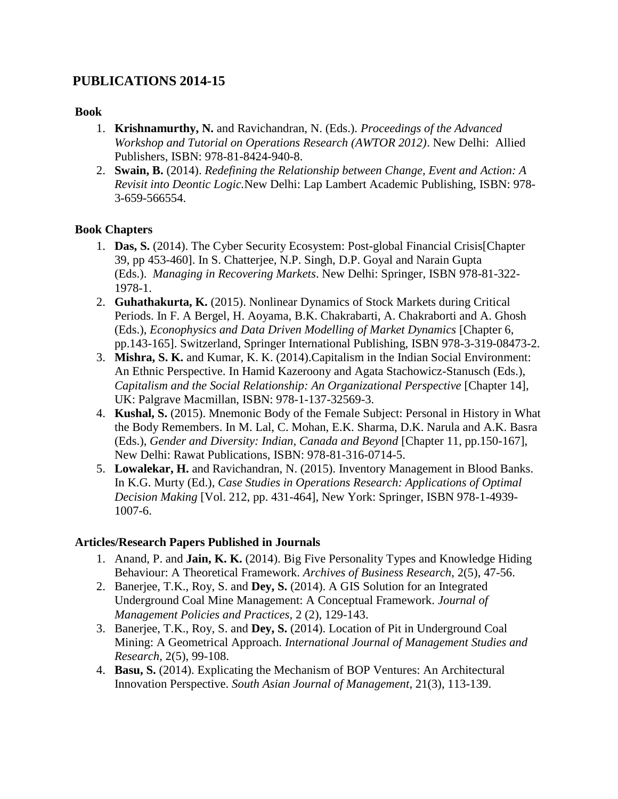# **PUBLICATIONS 2014-15**

### **Book**

- 1. **Krishnamurthy, N.** and Ravichandran, N. (Eds.). *Proceedings of the Advanced Workshop and Tutorial on Operations Research (AWTOR 2012)*. New Delhi: Allied Publishers, ISBN: 978-81-8424-940-8.
- 2. **Swain, B.** (2014). *Redefining the Relationship between Change, Event and Action: A Revisit into Deontic Logic.*New Delhi: Lap Lambert Academic Publishing, ISBN: 978- 3-659-566554.

# **Book Chapters**

- 1. **Das, S.** (2014). The Cyber Security Ecosystem: Post-global Financial Crisis[Chapter 39, pp 453-460]. In S. Chatterjee, N.P. Singh, D.P. Goyal and Narain Gupta (Eds.). *Managing in Recovering Markets*. New Delhi: Springer, ISBN 978-81-322- 1978-1.
- 2. **Guhathakurta, K.** (2015). Nonlinear Dynamics of Stock Markets during Critical Periods. In F. A Bergel, H. Aoyama, B.K. Chakrabarti, A. Chakraborti and A. Ghosh (Eds.), *Econophysics and Data Driven Modelling of Market Dynamics* [Chapter 6, pp.143-165]. Switzerland, Springer International Publishing, ISBN 978-3-319-08473-2.
- 3. **Mishra, S. K.** and Kumar, K. K. (2014).Capitalism in the Indian Social Environment: An Ethnic Perspective. In Hamid Kazeroony and Agata Stachowicz-Stanusch (Eds.), *Capitalism and the Social Relationship: An Organizational Perspective* [Chapter 14], UK: Palgrave Macmillan, ISBN: 978-1-137-32569-3.
- 4. **Kushal, S.** (2015). Mnemonic Body of the Female Subject: Personal in History in What the Body Remembers. In M. Lal, C. Mohan, E.K. Sharma, D.K. Narula and A.K. Basra (Eds.), *Gender and Diversity: Indian, Canada and Beyond* [Chapter 11, pp.150-167], New Delhi: Rawat Publications, ISBN: 978-81-316-0714-5.
- 5. **Lowalekar, H.** and Ravichandran, N. (2015). Inventory Management in Blood Banks. In K.G. Murty (Ed.), *Case Studies in Operations Research: Applications of Optimal Decision Making* [Vol. 212, pp. 431-464], New York: Springer, ISBN 978-1-4939- 1007-6.

#### **Articles/Research Papers Published in Journals**

- 1. Anand, P. and **Jain, K. K.** (2014). Big Five Personality Types and Knowledge Hiding Behaviour: A Theoretical Framework. *Archives of Business Research*, 2(5), 47-56.
- 2. Banerjee, T.K., Roy, S. and **Dey, S.** (2014). A GIS Solution for an Integrated Underground Coal Mine Management: A Conceptual Framework. *Journal of Management Policies and Practices*, 2 (2), 129-143.
- 3. Banerjee, T.K., Roy, S. and **Dey, S.** (2014). Location of Pit in Underground Coal Mining: A Geometrical Approach. *International Journal of Management Studies and Research*, 2(5), 99-108.
- 4. **Basu, S.** (2014). Explicating the Mechanism of BOP Ventures: An Architectural Innovation Perspective. *South Asian Journal of Management*, 21(3), 113-139.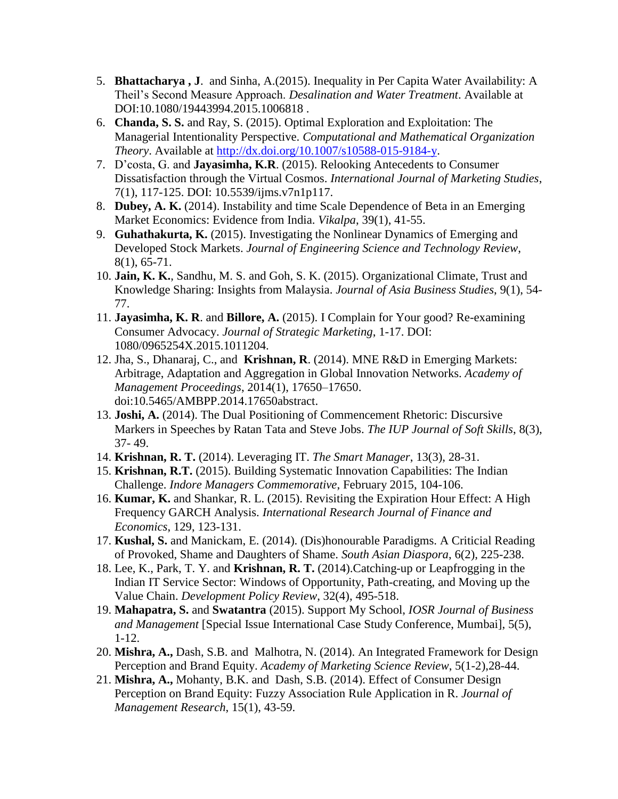- 5. **Bhattacharya , J**. and Sinha, A.(2015). Inequality in Per Capita Water Availability: A Theil's Second Measure Approach. *Desalination and Water Treatment*. Available at DOI:10.1080/19443994.2015.1006818 .
- 6. **Chanda, S. S.** and Ray, S. (2015). Optimal Exploration and Exploitation: The Managerial Intentionality Perspective. *Computational and Mathematical Organization Theory*. Available at [http://dx.doi.org/10.1007/s10588-015-9184-y.](http://dx.doi.org/10.1007/s10588-015-9184-y)
- 7. D'costa, G. and **Jayasimha, K.R**. (2015). Relooking Antecedents to Consumer Dissatisfaction through the Virtual Cosmos. *International Journal of Marketing Studies*, 7(1), 117-125. DOI: 10.5539/ijms.v7n1p117.
- 8. **Dubey, A. K.** (2014). Instability and time Scale Dependence of Beta in an Emerging Market Economics: Evidence from India. *Vikalpa*, 39(1), 41-55.
- 9. **Guhathakurta, K.** (2015). Investigating the Nonlinear Dynamics of Emerging and Developed Stock Markets. *Journal of Engineering Science and Technology Review*, 8(1), 65-71.
- 10. **Jain, K. K.**, Sandhu, M. S. and Goh, S. K. (2015). Organizational Climate, Trust and Knowledge Sharing: Insights from Malaysia. *Journal of Asia Business Studies*, 9(1), 54- 77.
- 11. **Jayasimha, K. R**. and **Billore, A.** (2015). I Complain for Your good? Re-examining Consumer Advocacy. *Journal of Strategic Marketing*, 1-17. DOI: 1080/0965254X.2015.1011204.
- 12. Jha, S., Dhanaraj, C., and **Krishnan, R**. (2014). MNE R&D in Emerging Markets: Arbitrage, Adaptation and Aggregation in Global Innovation Networks. *Academy of Management Proceedings*, 2014(1), 17650–17650. doi:10.5465/AMBPP.2014.17650abstract.
- 13. **Joshi, A.** (2014). The Dual Positioning of Commencement Rhetoric: Discursive Markers in Speeches by Ratan Tata and Steve Jobs. *The IUP Journal of Soft Skills*, 8(3), 37- 49.
- 14. **Krishnan, R. T.** (2014). Leveraging IT. *The Smart Manager*, 13(3), 28-31.
- 15. **Krishnan, R.T.** (2015). Building Systematic Innovation Capabilities: The Indian Challenge. *Indore Managers Commemorative*, February 2015, 104-106.
- 16. **Kumar, K.** and Shankar, R. L. (2015). Revisiting the Expiration Hour Effect: A High Frequency GARCH Analysis. *International Research Journal of Finance and Economics*, 129, 123-131.
- 17. **Kushal, S.** and Manickam, E. (2014). (Dis)honourable Paradigms. A Criticial Reading of Provoked, Shame and Daughters of Shame. *South Asian Diaspora*, 6(2), 225-238.
- 18. Lee, K., Park, T. Y. and **Krishnan, R. T.** (2014).Catching-up or Leapfrogging in the Indian IT Service Sector: Windows of Opportunity, Path-creating, and Moving up the Value Chain. *Development Policy Review*, 32(4), 495-518.
- 19. **Mahapatra, S.** and **Swatantra** (2015). Support My School, *IOSR Journal of Business and Management* [Special Issue International Case Study Conference, Mumbai], 5(5), 1-12.
- 20. **Mishra, A.,** Dash, S.B. and Malhotra, N. (2014). An Integrated Framework for Design Perception and Brand Equity. *Academy of Marketing Science Review*, 5(1-2),28-44.
- 21. **Mishra, A.,** Mohanty, B.K. and Dash, S.B. (2014). Effect of Consumer Design Perception on Brand Equity: Fuzzy Association Rule Application in R. *Journal of Management Research*, 15(1), 43-59.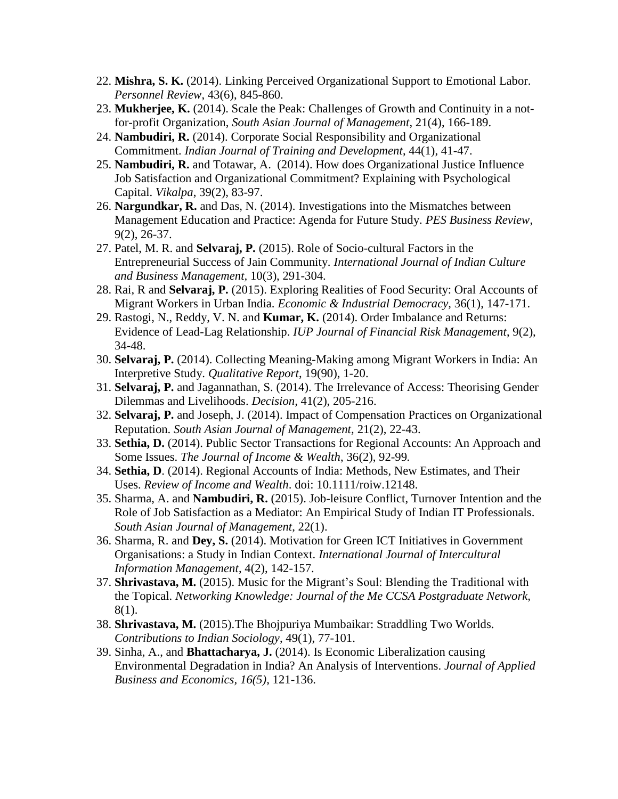- 22. **Mishra, S. K.** (2014). Linking Perceived Organizational Support to Emotional Labor. *Personnel Review*, 43(6), 845-860.
- 23. **Mukherjee, K.** (2014). Scale the Peak: Challenges of Growth and Continuity in a notfor-profit Organization, *South Asian Journal of Management*, 21(4), 166-189.
- 24. **Nambudiri, R.** (2014). Corporate Social Responsibility and Organizational Commitment. *Indian Journal of Training and Development*, 44(1), 41-47.
- 25. **Nambudiri, R.** and Totawar, A. (2014). How does Organizational Justice Influence Job Satisfaction and Organizational Commitment? Explaining with Psychological Capital. *Vikalpa*, 39(2), 83-97.
- 26. **Nargundkar, R.** and Das, N. (2014). Investigations into the Mismatches between Management Education and Practice: Agenda for Future Study. *PES Business Review*, 9(2), 26-37.
- 27. Patel, M. R. and **Selvaraj, P.** (2015). Role of Socio-cultural Factors in the Entrepreneurial Success of Jain Community. *International Journal of Indian Culture and Business Management,* 10(3), 291-304.
- 28. Rai, R and **Selvaraj, P.** (2015). Exploring Realities of Food Security: Oral Accounts of Migrant Workers in Urban India. *Economic & Industrial Democracy,* 36(1), 147-171.
- 29. Rastogi, N., Reddy, V. N. and **Kumar, K.** (2014). Order Imbalance and Returns: Evidence of Lead-Lag Relationship. *IUP Journal of Financial Risk Management*, 9(2), 34-48.
- 30. **Selvaraj, P.** (2014). Collecting Meaning-Making among Migrant Workers in India: An Interpretive Study. *Qualitative Report*, 19(90), 1-20.
- 31. **Selvaraj, P.** and Jagannathan, S. (2014). The Irrelevance of Access: Theorising Gender Dilemmas and Livelihoods. *Decision,* 41(2), 205-216.
- 32. **Selvaraj, P.** and Joseph, J. (2014). Impact of Compensation Practices on Organizational Reputation. *South Asian Journal of Management,* 21(2), 22-43.
- 33. **Sethia, D.** (2014). Public Sector Transactions for Regional Accounts: An Approach and Some Issues. *The Journal of Income & Wealth*, 36(2), 92-99*.*
- 34. **Sethia, D**. (2014). Regional Accounts of India: Methods, New Estimates, and Their Uses. *Review of Income and Wealth*. doi: 10.1111/roiw.12148.
- 35. Sharma, A. and **Nambudiri, R.** (2015). Job-leisure Conflict, Turnover Intention and the Role of Job Satisfaction as a Mediator: An Empirical Study of Indian IT Professionals. *South Asian Journal of Management*, 22(1).
- 36. Sharma, R. and **Dey, S.** (2014). Motivation for Green ICT Initiatives in Government Organisations: a Study in Indian Context. *International Journal of Intercultural Information Management*, 4(2), 142-157.
- 37. **Shrivastava, M.** (2015). Music for the Migrant's Soul: Blending the Traditional with the Topical. *Networking Knowledge: Journal of the Me CCSA Postgraduate Network,* 8(1).
- 38. **Shrivastava, M.** (2015).The Bhojpuriya Mumbaikar: Straddling Two Worlds. *Contributions to Indian Sociology*, 49(1), 77-101.
- 39. Sinha, A., and **Bhattacharya, J.** (2014). Is Economic Liberalization causing Environmental Degradation in India? An Analysis of Interventions. *Journal of Applied Business and Economics, 16(5)*, 121-136.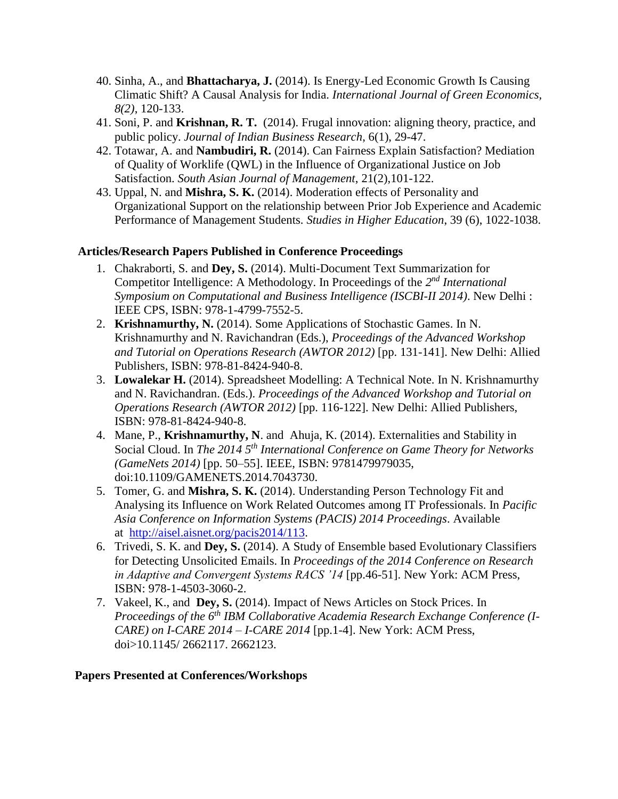- 40. Sinha, A., and **Bhattacharya, J.** (2014). Is Energy-Led Economic Growth Is Causing Climatic Shift? A Causal Analysis for India. *International Journal of Green Economics, 8(2)*, 120-133.
- 41. Soni, P. and **Krishnan, R. T.** (2014). Frugal innovation: aligning theory, practice, and public policy. *Journal of Indian Business Research*, 6(1), 29-47.
- 42. Totawar, A. and **Nambudiri, R.** (2014). Can Fairness Explain Satisfaction? Mediation of Quality of Worklife (QWL) in the Influence of Organizational Justice on Job Satisfaction. *South Asian Journal of Management*, 21(2),101-122.
- 43. Uppal, N. and **Mishra, S. K.** (2014). Moderation effects of Personality and Organizational Support on the relationship between Prior Job Experience and Academic Performance of Management Students. *Studies in Higher Education*, 39 (6), 1022-1038.

#### **Articles/Research Papers Published in Conference Proceedings**

- 1. Chakraborti, S. and **Dey, S.** (2014). Multi-Document Text Summarization for Competitor Intelligence: A Methodology. In Proceedings of the 2<sup>nd</sup> International *Symposium on Computational and Business Intelligence (ISCBI-II 2014)*. New Delhi : IEEE CPS, ISBN: 978-1-4799-7552-5.
- 2. **Krishnamurthy, N.** (2014). Some Applications of Stochastic Games. In N. Krishnamurthy and N. Ravichandran (Eds.), *Proceedings of the Advanced Workshop and Tutorial on Operations Research (AWTOR 2012)* [pp. 131-141]. New Delhi: Allied Publishers, ISBN: 978-81-8424-940-8.
- 3. **Lowalekar H.** (2014). Spreadsheet Modelling: A Technical Note. In N. Krishnamurthy and N. Ravichandran. (Eds.). *Proceedings of the Advanced Workshop and Tutorial on Operations Research (AWTOR 2012)* [pp. 116-122]. New Delhi: Allied Publishers, ISBN: 978-81-8424-940-8.
- 4. Mane, P., **Krishnamurthy, N**. and Ahuja, K. (2014). Externalities and Stability in Social Cloud. In *The 2014 5th International Conference on Game Theory for Networks (GameNets 2014)* [pp. 50–55]. IEEE, ISBN: 9781479979035, doi:10.1109/GAMENETS.2014.7043730.
- 5. Tomer, G. and **Mishra, S. K.** (2014). Understanding Person Technology Fit and Analysing its Influence on Work Related Outcomes among IT Professionals. In *Pacific Asia Conference on Information Systems (PACIS) 2014 Proceedings*. Available at [http://aisel.aisnet.org/pacis2014/113.](http://aisel.aisnet.org/pacis2014/113)
- 6. Trivedi, S. K. and **Dey, S.** (2014). A Study of Ensemble based Evolutionary Classifiers for Detecting Unsolicited Emails. In *Proceedings of the 2014 Conference on Research in Adaptive and Convergent Systems RACS '14* [pp.46-51]. New York: ACM Press, ISBN: 978-1-4503-3060-2.
- 7. Vakeel, K., and **Dey, S.** (2014). Impact of News Articles on Stock Prices. In *Proceedings of the 6th IBM Collaborative Academia Research Exchange Conference (I-CARE) on I-CARE 2014 – I-CARE 2014* [pp.1-4]. New York: ACM Press, doi>10.1145/ 2662117. 2662123.

#### **Papers Presented at Conferences/Workshops**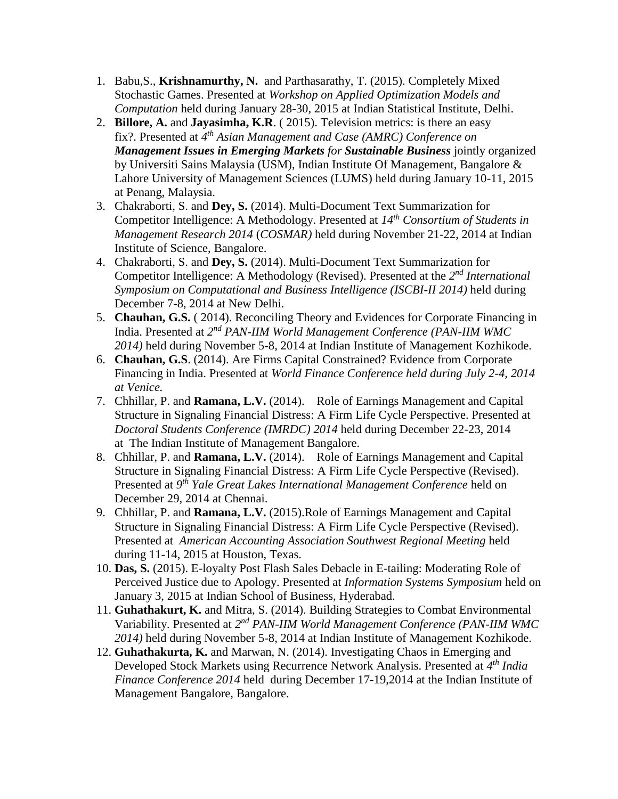- 1. Babu,S., **Krishnamurthy, N.** and Parthasarathy, T. (2015). Completely Mixed Stochastic Games. Presented at *Workshop on Applied Optimization Models and Computation* held during January 28-30, 2015 at Indian Statistical Institute, Delhi.
- 2. **Billore, A.** and **Jayasimha, K.R**. ( 2015). Television metrics: is there an easy fix?. Presented at *4 th Asian Management and Case (AMRC) Conference on Management Issues in Emerging Markets for Sustainable Business* jointly organized by Universiti Sains Malaysia (USM), Indian Institute Of Management, Bangalore & Lahore University of Management Sciences (LUMS) held during January 10-11, 2015 at Penang, Malaysia.
- 3. Chakraborti, S. and **Dey, S.** (2014). Multi-Document Text Summarization for Competitor Intelligence: A Methodology. Presented at *14th Consortium of Students in Management Research 2014* (*COSMAR)* held during November 21-22, 2014 at Indian Institute of Science, Bangalore.
- 4. Chakraborti, S. and **Dey, S.** (2014). Multi-Document Text Summarization for Competitor Intelligence: A Methodology (Revised). Presented at the 2<sup>nd</sup> International *Symposium on Computational and Business Intelligence (ISCBI-II 2014)* held during December 7-8, 2014 at New Delhi.
- 5. **Chauhan, G.S.** ( 2014). Reconciling Theory and Evidences for Corporate Financing in India. Presented at 2<sup>nd</sup> PAN-IIM World Management Conference (PAN-IIM WMC *2014)* held during November 5-8, 2014 at Indian Institute of Management Kozhikode.
- 6. **Chauhan, G.S**. (2014). Are Firms Capital Constrained? Evidence from Corporate Financing in India. Presented at *World Finance Conference held during July 2-4, 2014 at Venice.*
- 7. Chhillar, P. and **Ramana, L.V.** (2014). Role of Earnings Management and Capital Structure in Signaling Financial Distress: A Firm Life Cycle Perspective. Presented at *Doctoral Students Conference (IMRDC) 2014* held during December 22-23, 2014 at The Indian Institute of Management Bangalore.
- 8. Chhillar, P. and **Ramana, L.V.** (2014). Role of Earnings Management and Capital Structure in Signaling Financial Distress: A Firm Life Cycle Perspective (Revised). Presented at *9 th Yale Great Lakes International Management Conference* held on December 29, 2014 at Chennai.
- 9. Chhillar, P. and **Ramana, L.V.** (2015).Role of Earnings Management and Capital Structure in Signaling Financial Distress: A Firm Life Cycle Perspective (Revised). Presented at *American Accounting Association Southwest Regional Meeting* held during 11-14, 2015 at Houston, Texas.
- 10. **Das, S.** (2015). E-loyalty Post Flash Sales Debacle in E-tailing: Moderating Role of Perceived Justice due to Apology. Presented at *Information Systems Symposium* held on January 3, 2015 at Indian School of Business, Hyderabad.
- 11. **Guhathakurt, K.** and Mitra, S. (2014). Building Strategies to Combat Environmental Variability. Presented at 2<sup>nd</sup> PAN-IIM World Management Conference (PAN-IIM WMC *2014)* held during November 5-8, 2014 at Indian Institute of Management Kozhikode.
- 12. **Guhathakurta, K.** and Marwan, N. (2014). Investigating Chaos in Emerging and Developed Stock Markets using Recurrence Network Analysis. Presented at *4 th India Finance Conference 2014* held during December 17-19,2014 at the Indian Institute of Management Bangalore, Bangalore.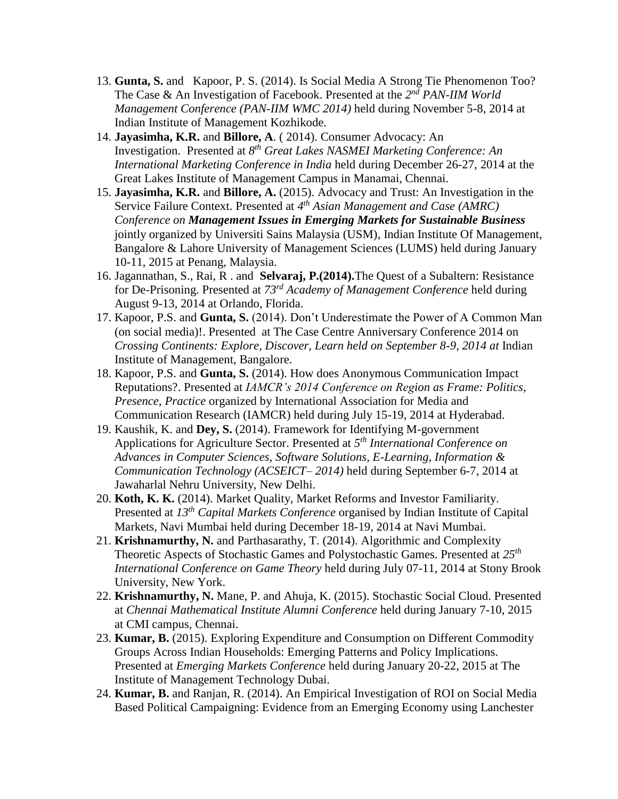- 13. **Gunta, S.** and Kapoor, P. S. (2014). Is Social Media A Strong Tie Phenomenon Too? The Case & An Investigation of Facebook. Presented at the 2<sup>nd</sup> PAN-IIM World *Management Conference (PAN-IIM WMC 2014)* held during November 5-8, 2014 at Indian Institute of Management Kozhikode.
- 14. **Jayasimha, K.R.** and **Billore, A**. ( 2014). Consumer Advocacy: An Investigation. Presented at *8 th Great Lakes NASMEI Marketing Conference: An International Marketing Conference in India* held during December 26-27, 2014 at the Great Lakes Institute of Management Campus in Manamai, Chennai.
- 15. **Jayasimha, K.R.** and **Billore, A.** (2015). Advocacy and Trust: An Investigation in the Service Failure Context. Presented at *4 th Asian Management and Case (AMRC) Conference on Management Issues in Emerging Markets for Sustainable Business* jointly organized by Universiti Sains Malaysia (USM), Indian Institute Of Management, Bangalore & Lahore University of Management Sciences (LUMS) held during January 10-11, 2015 at Penang, Malaysia.
- 16. Jagannathan, S., Rai, R . and **Selvaraj, P.(2014).**The Quest of a Subaltern: Resistance for De-Prisoning. Presented at *73rd Academy of Management Conference* held during August 9-13, 2014 at Orlando, Florida.
- 17. Kapoor, P.S. and **Gunta, S.** (2014). Don't Underestimate the Power of A Common Man (on social media)!. Presented at The Case Centre Anniversary Conference 2014 on *Crossing Continents: Explore, Discover, Learn held on September 8-9, 2014 at Indian* Institute of Management, Bangalore.
- 18. Kapoor, P.S. and **Gunta, S.** (2014). How does Anonymous Communication Impact Reputations?. Presented at *IAMCR's 2014 Conference on Region as Frame: Politics, Presence, Practice* organized by International Association for Media and Communication Research (IAMCR) held during July 15-19, 2014 at Hyderabad.
- 19. Kaushik, K. and **Dey, S.** (2014). Framework for Identifying M-government Applications for Agriculture Sector. Presented at *5 th International Conference on Advances in Computer Sciences, Software Solutions, E-Learning, Information & Communication Technology (ACSEICT– 2014)* held during September 6-7, 2014 at Jawaharlal Nehru University, New Delhi.
- 20. **Koth, K. K.** (2014). Market Quality, Market Reforms and Investor Familiarity. Presented at *13th Capital Markets Conference* organised by Indian Institute of Capital Markets, Navi Mumbai held during December 18-19, 2014 at Navi Mumbai.
- 21. **Krishnamurthy, N.** and Parthasarathy, T. (2014). Algorithmic and Complexity Theoretic Aspects of Stochastic Games and Polystochastic Games. Presented at *25th International Conference on Game Theory* held during July 07-11, 2014 at Stony Brook University, New York.
- 22. **Krishnamurthy, N.** Mane, P. and Ahuja, K. (2015). Stochastic Social Cloud. Presented at *Chennai Mathematical Institute Alumni Conference* held during January 7-10, 2015 at CMI campus, Chennai.
- 23. **Kumar, B.** (2015). Exploring Expenditure and Consumption on Different Commodity Groups Across Indian Households: Emerging Patterns and Policy Implications. Presented at *Emerging Markets Conference* held during January 20-22, 2015 at The Institute of Management Technology Dubai.
- 24. **Kumar, B.** and Ranjan, R. (2014). An Empirical Investigation of ROI on Social Media Based Political Campaigning: Evidence from an Emerging Economy using Lanchester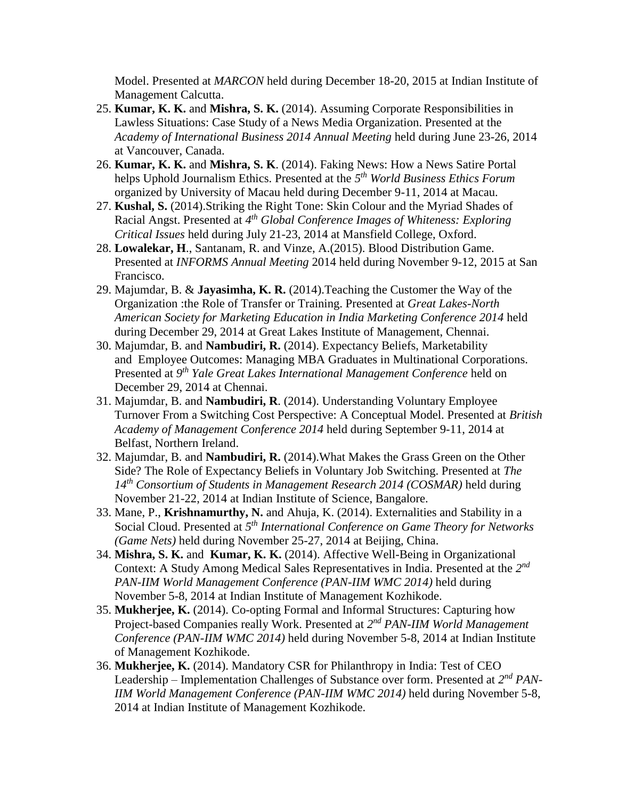Model. Presented at *MARCON* held during December 18-20, 2015 at Indian Institute of Management Calcutta.

- 25. **Kumar, K. K.** and **Mishra, S. K.** (2014). Assuming Corporate Responsibilities in Lawless Situations: Case Study of a News Media Organization. Presented at the *Academy of International Business 2014 Annual Meeting* held during June 23-26, 2014 at Vancouver, Canada.
- 26. **Kumar, K. K.** and **Mishra, S. K**. (2014). Faking News: How a News Satire Portal helps Uphold Journalism Ethics. Presented at the *5 th World Business Ethics Forum* organized by University of Macau held during December 9-11, 2014 at Macau.
- 27. **Kushal, S.** (2014).Striking the Right Tone: Skin Colour and the Myriad Shades of Racial Angst. Presented at *4 th Global Conference Images of Whiteness: Exploring Critical Issues* held during July 21-23, 2014 at Mansfield College, Oxford.
- 28. **Lowalekar, H**., Santanam, R. and Vinze, A.(2015). Blood Distribution Game. Presented at *INFORMS Annual Meeting* 2014 held during November 9-12, 2015 at San Francisco.
- 29. Majumdar, B. & **Jayasimha, K. R.** (2014).Teaching the Customer the Way of the Organization :the Role of Transfer or Training. Presented at *Great Lakes-North American Society for Marketing Education in India Marketing Conference 2014* held during December 29, 2014 at Great Lakes Institute of Management, Chennai.
- 30. Majumdar, B. and **Nambudiri, R.** (2014). Expectancy Beliefs, Marketability and Employee Outcomes: Managing MBA Graduates in Multinational Corporations. Presented at *9 th Yale Great Lakes International Management Conference* held on December 29, 2014 at Chennai.
- 31. Majumdar, B. and **Nambudiri, R**. (2014). Understanding Voluntary Employee Turnover From a Switching Cost Perspective: A Conceptual Model. Presented at *British Academy of Management Conference 2014* held during September 9-11, 2014 at Belfast, Northern Ireland.
- 32. Majumdar, B. and **Nambudiri, R.** (2014).What Makes the Grass Green on the Other Side? The Role of Expectancy Beliefs in Voluntary Job Switching. Presented at *The 14th Consortium of Students in Management Research 2014 (COSMAR)* held during November 21-22, 2014 at Indian Institute of Science, Bangalore.
- 33. Mane, P., **Krishnamurthy, N.** and Ahuja, K. (2014). Externalities and Stability in a Social Cloud. Presented at *5 th International Conference on Game Theory for Networks (Game Nets)* held during November 25-27, 2014 at Beijing, China.
- 34. **Mishra, S. K.** and **Kumar, K. K.** (2014). Affective Well-Being in Organizational Context: A Study Among Medical Sales Representatives in India. Presented at the *2 nd PAN-IIM World Management Conference (PAN-IIM WMC 2014)* held during November 5-8, 2014 at Indian Institute of Management Kozhikode.
- 35. **Mukherjee, K.** (2014). Co-opting Formal and Informal Structures: Capturing how Project-based Companies really Work. Presented at 2<sup>nd</sup> PAN-IIM World Management *Conference (PAN-IIM WMC 2014)* held during November 5-8, 2014 at Indian Institute of Management Kozhikode.
- 36. **Mukherjee, K.** (2014). Mandatory CSR for Philanthropy in India: Test of CEO Leadership – Implementation Challenges of Substance over form. Presented at  $2^{nd} PAN$ -*IIM World Management Conference (PAN-IIM WMC 2014)* held during November 5-8, 2014 at Indian Institute of Management Kozhikode.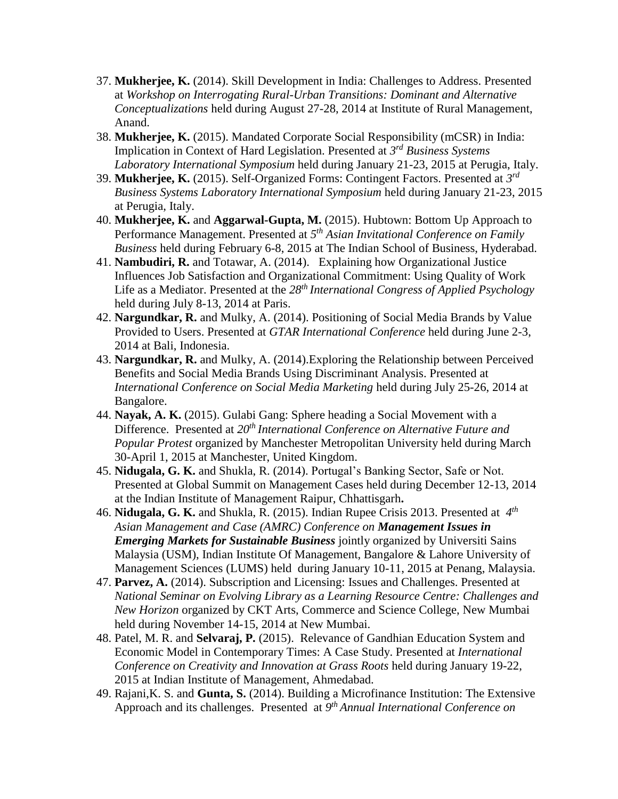- 37. **Mukherjee, K.** (2014). Skill Development in India: Challenges to Address. Presented at *Workshop on Interrogating Rural-Urban Transitions: Dominant and Alternative Conceptualizations* held during August 27-28, 2014 at Institute of Rural Management, Anand.
- 38. **Mukherjee, K.** (2015). Mandated Corporate Social Responsibility (mCSR) in India: Implication in Context of Hard Legislation. Presented at *3 rd Business Systems Laboratory International Symposium* held during January 21-23, 2015 at Perugia, Italy.
- 39. **Mukherjee, K.** (2015). Self-Organized Forms: Contingent Factors. Presented at *3 rd Business Systems Laboratory International Symposium* held during January 21-23, 2015 at Perugia, Italy.
- 40. **Mukherjee, K.** and **Aggarwal-Gupta, M.** (2015). Hubtown: Bottom Up Approach to Performance Management. Presented at *5 th Asian Invitational Conference on Family Business* held during February 6-8, 2015 at The Indian School of Business, Hyderabad.
- 41. **Nambudiri, R.** and Totawar, A. (2014). Explaining how Organizational Justice Influences Job Satisfaction and Organizational Commitment: Using Quality of Work Life as a Mediator. Presented at the *28th International Congress of Applied Psychology* held during July 8-13, 2014 at Paris.
- 42. **Nargundkar, R.** and Mulky, A. (2014). Positioning of Social Media Brands by Value Provided to Users. Presented at *GTAR International Conference* held during June 2-3, 2014 at Bali, Indonesia.
- 43. **Nargundkar, R.** and Mulky, A. (2014).Exploring the Relationship between Perceived Benefits and Social Media Brands Using Discriminant Analysis. Presented at *International Conference on Social Media Marketing* held during July 25-26, 2014 at Bangalore.
- 44. **Nayak, A. K.** (2015). Gulabi Gang: Sphere heading a Social Movement with a Difference. Presented at *20th International Conference on Alternative Future and Popular Protest* organized by Manchester Metropolitan University held during March 30-April 1, 2015 at Manchester, United Kingdom.
- 45. **Nidugala, G. K.** and Shukla, R. (2014). Portugal's Banking Sector, Safe or Not. Presented at Global Summit on Management Cases held during December 12-13, 2014 at the Indian Institute of Management Raipur, Chhattisgarh**.**
- 46. **Nidugala, G. K.** and Shukla, R. (2015). Indian Rupee Crisis 2013. Presented at *4 th Asian Management and Case (AMRC) Conference on Management Issues in Emerging Markets for Sustainable Business* jointly organized by Universiti Sains Malaysia (USM), Indian Institute Of Management, Bangalore & Lahore University of Management Sciences (LUMS) held during January 10-11, 2015 at Penang, Malaysia.
- 47. **Parvez, A.** (2014). Subscription and Licensing: Issues and Challenges. Presented at *National Seminar on Evolving Library as a Learning Resource Centre: Challenges and New Horizon* organized by CKT Arts, Commerce and Science College, New Mumbai held during November 14-15, 2014 at New Mumbai.
- 48. Patel, M. R. and **Selvaraj, P.** (2015). Relevance of Gandhian Education System and Economic Model in Contemporary Times: A Case Study. Presented at *International Conference on Creativity and Innovation at Grass Roots* held during January 19-22, 2015 at Indian Institute of Management, Ahmedabad.
- 49. Rajani,K. S. and **Gunta, S.** (2014). Building a Microfinance Institution: The Extensive Approach and its challenges. Presented at *9 th Annual International Conference on*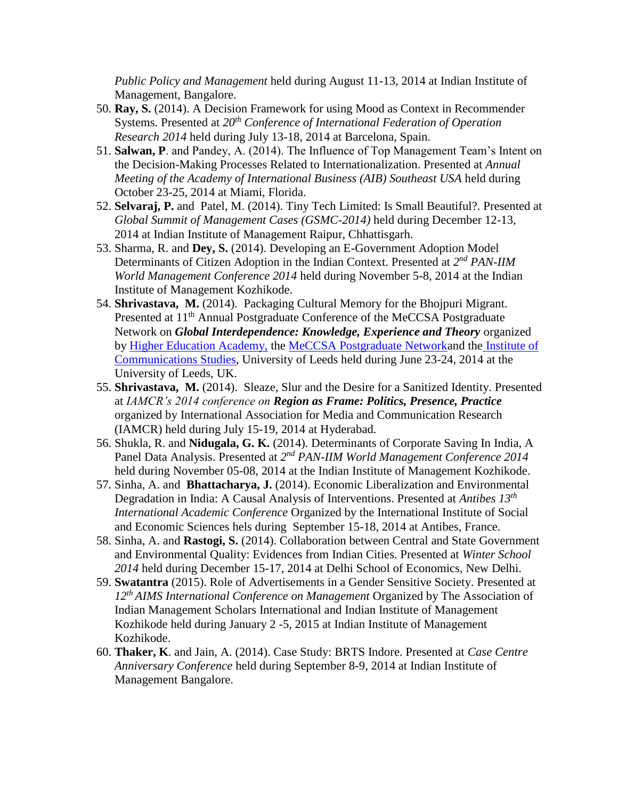*Public Policy and Management* held during August 11-13, 2014 at Indian Institute of Management, Bangalore.

- 50. **Ray, S.** (2014). A Decision Framework for using Mood as Context in Recommender Systems. Presented at *20th Conference of International Federation of Operation Research 2014* held during July 13-18, 2014 at Barcelona, Spain.
- 51. **Salwan, P**. and Pandey, A. (2014). The Influence of Top Management Team's Intent on the Decision-Making Processes Related to Internationalization. Presented at *Annual Meeting of the Academy of International Business (AIB) Southeast USA* held during October 23-25, 2014 at Miami, Florida.
- 52. **Selvaraj, P.** and Patel, M. (2014). Tiny Tech Limited: Is Small Beautiful?. Presented at *Global Summit of Management Cases (GSMC-2014)* held during December 12-13, 2014 at Indian Institute of Management Raipur, Chhattisgarh.
- 53. Sharma, R. and **Dey, S.** (2014). Developing an E-Government Adoption Model Determinants of Citizen Adoption in the Indian Context. Presented at  $2^{nd}$  *PAN-IIM World Management Conference 2014* held during November 5-8, 2014 at the Indian Institute of Management Kozhikode.
- 54. **Shrivastava, M.** (2014). Packaging Cultural Memory for the Bhojpuri Migrant. Presented at 11<sup>th</sup> Annual Postgraduate Conference of the MeCCSA Postgraduate Network on *Global Interdependence: Knowledge, Experience and Theory* organized by [Higher Education Academy,](http://www.heacademy.ac.uk/) the [MeCCSA Postgraduate Networka](http://www.meccsa.org.uk/postgraduate-network/)nd the [Institute of](http://ics.leeds.ac.uk/)  [Communications Studies,](http://ics.leeds.ac.uk/) University of Leeds held during June 23-24, 2014 at the University of Leeds, UK.
- 55. **Shrivastava, M.** (2014). Sleaze, Slur and the Desire for a Sanitized Identity. Presented at *IAMCR's 2014 conference on Region as Frame: Politics, Presence, Practice* organized by International Association for Media and Communication Research (IAMCR) held during July 15-19, 2014 at Hyderabad.
- 56. Shukla, R. and **Nidugala, G. K.** (2014). Determinants of Corporate Saving In India, A Panel Data Analysis. Presented at 2<sup>nd</sup> PAN-IIM World Management Conference 2014 held during November 05-08, 2014 at the Indian Institute of Management Kozhikode.
- 57. Sinha, A. and **Bhattacharya, J.** (2014). Economic Liberalization and Environmental Degradation in India: A Causal Analysis of Interventions. Presented at *Antibes 13th International Academic Conference* Organized by the International Institute of Social and Economic Sciences hels during September 15-18, 2014 at Antibes, France.
- 58. Sinha, A. and **Rastogi, S.** (2014). Collaboration between Central and State Government and Environmental Quality: Evidences from Indian Cities. Presented at *Winter School 2014* held during December 15-17, 2014 at Delhi School of Economics, New Delhi.
- 59. **Swatantra** (2015). Role of Advertisements in a Gender Sensitive Society. Presented at *12th AIMS International Conference on Management* Organized by The Association of Indian Management Scholars International and Indian Institute of Management Kozhikode held during January 2 -5, 2015 at Indian Institute of Management Kozhikode.
- 60. **Thaker, K**. and Jain, A. (2014). Case Study: BRTS Indore. Presented at *Case Centre Anniversary Conference* held during September 8-9, 2014 at Indian Institute of Management Bangalore.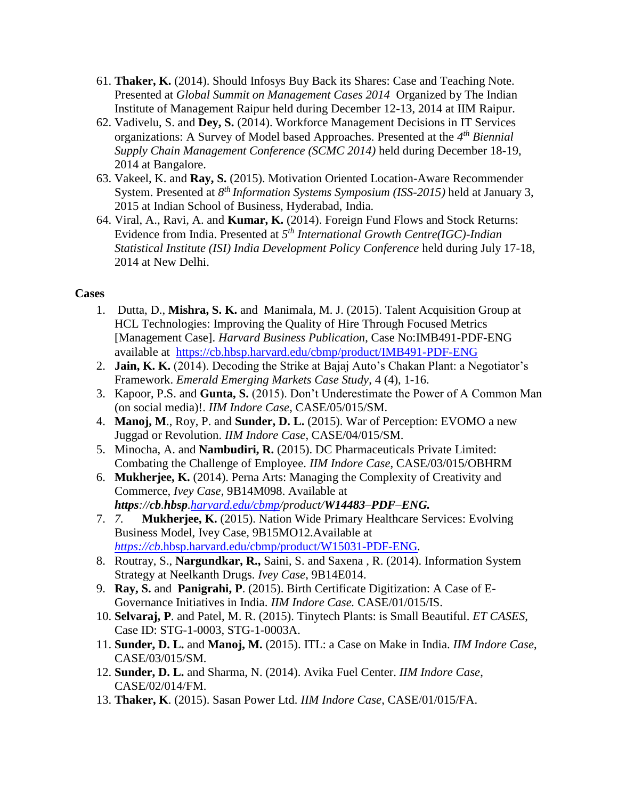- 61. **Thaker, K.** (2014). Should Infosys Buy Back its Shares: Case and Teaching Note. Presented at *Global Summit on Management Cases 2014* Organized by The Indian Institute of Management Raipur held during December 12-13, 2014 at IIM Raipur.
- 62. Vadivelu, S. and **Dey, S.** (2014). Workforce Management Decisions in IT Services organizations: A Survey of Model based Approaches. Presented at the *4 th Biennial Supply Chain Management Conference (SCMC 2014)* held during December 18-19, 2014 at Bangalore.
- 63. Vakeel, K. and **Ray, S.** (2015). Motivation Oriented Location-Aware Recommender System. Presented at *8 th Information Systems Symposium (ISS-2015)* held at January 3, 2015 at Indian School of Business, Hyderabad, India.
- 64. Viral, A., Ravi, A. and **Kumar, K.** (2014). Foreign Fund Flows and Stock Returns: Evidence from India. Presented at *5 th International Growth Centre(IGC)-Indian Statistical Institute (ISI) India Development Policy Conference* held during July 17-18, 2014 at New Delhi.

### **Cases**

- 1. Dutta, D., **Mishra, S. K.** and Manimala, M. J. (2015). Talent Acquisition Group at HCL Technologies: Improving the Quality of Hire Through Focused Metrics [Management Case]. *Harvard Business Publication*, Case No:IMB491-PDF-ENG available at <https://cb.hbsp.harvard.edu/cbmp/product/IMB491-PDF-ENG>
- 2. **Jain, K. K.** (2014). Decoding the Strike at Bajaj Auto's Chakan Plant: a Negotiator's Framework. *Emerald Emerging Markets Case Study*, 4 (4), 1-16.
- 3. Kapoor, P.S. and **Gunta, S.** (2015). Don't Underestimate the Power of A Common Man (on social media)!. *IIM Indore Case*, CASE/05/015/SM.
- 4. **Manoj, M**., Roy, P. and **Sunder, D. L.** (2015). War of Perception: EVOMO a new Juggad or Revolution. *IIM Indore Case*, CASE/04/015/SM.
- 5. Minocha, A. and **Nambudiri, R.** (2015). DC Pharmaceuticals Private Limited: Combating the Challenge of Employee. *IIM Indore Case*, CASE/03/015/OBHRM
- 6. **Mukherjee, K.** (2014). Perna Arts: Managing the Complexity of Creativity and Commerce, *Ivey Case*, 9B14M098. Available at *https://cb.hbsp[.harvard.edu/cbmp/](http://harvard.edu/cbmp)product/W14483–PDF–ENG.*
- 7. *7.* **Mukherjee, K.** (2015). Nation Wide Primary Healthcare Services: Evolving Business Model, Ivey Case, 9B15MO12.Available at *https://cb*[.hbsp.harvard.edu/cbmp/product/W15031-PDF-ENG](https://cb.hbsp.harvard.edu/cbmp/product/W15031-PDF-ENG)*.*
- 8. Routray, S., **Nargundkar, R.,** Saini, S. and Saxena , R. (2014). Information System Strategy at Neelkanth Drugs. *Ivey Case*, 9B14E014.
- 9. **Ray, S.** and **Panigrahi, P**. (2015). Birth Certificate Digitization: A Case of E-Governance Initiatives in India. *IIM Indore Case.* CASE/01/015/IS.
- 10. **Selvaraj, P**. and Patel, M. R. (2015). Tinytech Plants: is Small Beautiful. *ET CASES*, Case ID: STG-1-0003, STG-1-0003A.
- 11. **Sunder, D. L.** and **Manoj, M.** (2015). ITL: a Case on Make in India. *IIM Indore Case*, CASE/03/015/SM.
- 12. **Sunder, D. L.** and Sharma, N. (2014). Avika Fuel Center. *IIM Indore Case*, CASE/02/014/FM.
- 13. **Thaker, K**. (2015). Sasan Power Ltd. *IIM Indore Case*, CASE/01/015/FA.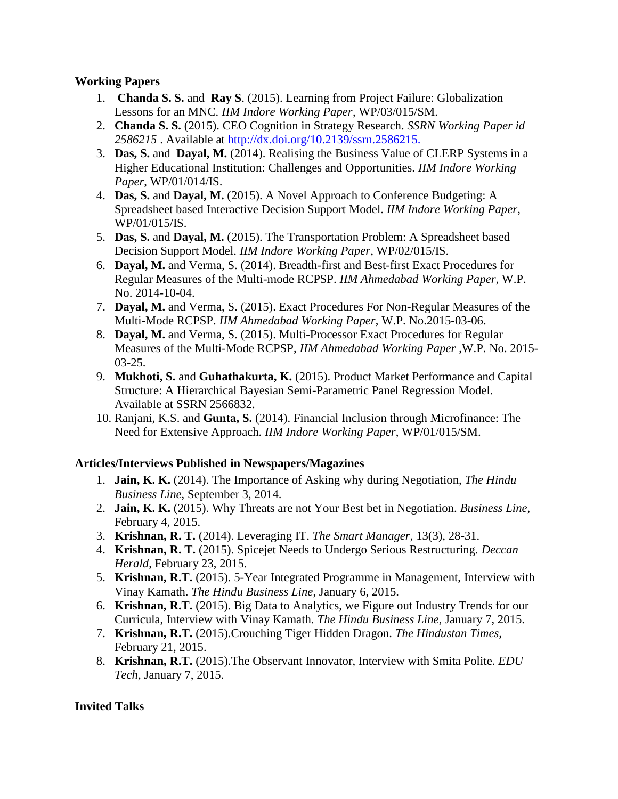# **Working Papers**

- 1. **Chanda S. S.** and **Ray S**. (2015). Learning from Project Failure: Globalization Lessons for an MNC. *IIM Indore Working Paper*, WP/03/015/SM.
- 2. **Chanda S. S.** (2015). CEO Cognition in Strategy Research. *SSRN Working Paper id 2586215* . Available at<http://dx.doi.org/10.2139/ssrn.2586215.>
- 3. **Das, S.** and **Dayal, M.** (2014). Realising the Business Value of CLERP Systems in a Higher Educational Institution: Challenges and Opportunities. *IIM Indore Working Paper*, WP/01/014/IS.
- 4. **Das, S.** and **Dayal, M.** (2015). A Novel Approach to Conference Budgeting: A Spreadsheet based Interactive Decision Support Model. *IIM Indore Working Paper*, WP/01/015/IS.
- 5. **Das, S.** and **Dayal, M.** (2015). The Transportation Problem: A Spreadsheet based Decision Support Model. *IIM Indore Working Paper*, WP/02/015/IS.
- 6. **Dayal, M.** and Verma, S. (2014). Breadth-first and Best-first Exact Procedures for Regular Measures of the Multi-mode RCPSP. *IIM Ahmedabad Working Paper*, W.P. No. 2014-10-04.
- 7. **Dayal, M.** and Verma, S. (2015). Exact Procedures For Non-Regular Measures of the Multi-Mode RCPSP. *IIM Ahmedabad Working Paper*, W.P. No.2015-03-06.
- 8. **Dayal, M.** and Verma, S. (2015). Multi-Processor Exact Procedures for Regular Measures of the Multi-Mode RCPSP, *IIM Ahmedabad Working Paper* ,W.P. No. 2015- 03-25.
- 9. **Mukhoti, S.** and **Guhathakurta, K.** (2015). Product Market Performance and Capital Structure: A Hierarchical Bayesian Semi-Parametric Panel Regression Model. Available at SSRN 2566832.
- 10. Ranjani, K.S. and **Gunta, S.** (2014). Financial Inclusion through Microfinance: The Need for Extensive Approach. *IIM Indore Working Paper*, WP/01/015/SM.

# **Articles/Interviews Published in Newspapers/Magazines**

- 1. **Jain, K. K.** (2014). The Importance of Asking why during Negotiation, *The Hindu Business Line*, September 3, 2014.
- 2. **Jain, K. K.** (2015). Why Threats are not Your Best bet in Negotiation. *Business Line*, February 4, 2015.
- 3. **Krishnan, R. T.** (2014). Leveraging IT. *The Smart Manager*, 13(3), 28-31.
- 4. **Krishnan, R. T.** (2015). Spicejet Needs to Undergo Serious Restructuring. *Deccan Herald*, February 23, 2015.
- 5. **Krishnan, R.T.** (2015). 5-Year Integrated Programme in Management, Interview with Vinay Kamath. *The Hindu Business Line*, January 6, 2015.
- 6. **Krishnan, R.T.** (2015). Big Data to Analytics, we Figure out Industry Trends for our Curricula, Interview with Vinay Kamath. *The Hindu Business Line*, January 7, 2015.
- 7. **Krishnan, R.T.** (2015).Crouching Tiger Hidden Dragon. *The Hindustan Times,* February 21, 2015.
- 8. **Krishnan, R.T.** (2015).The Observant Innovator, Interview with Smita Polite. *EDU Tech*, January 7, 2015.

# **Invited Talks**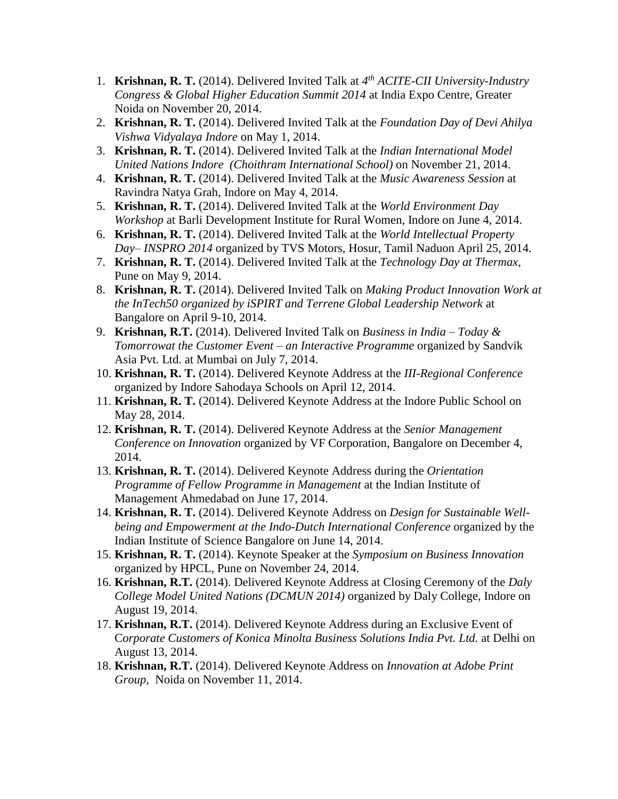- 1. **Krishnan, R. T.** (2014). Delivered Invited Talk at *4 th ACITE-CII University-Industry Congress & Global Higher Education Summit 2014* at India Expo Centre, Greater Noida on November 20, 2014.
- 2. **Krishnan, R. T.** (2014). Delivered Invited Talk at the *Foundation Day of Devi Ahilya Vishwa Vidyalaya Indore* on May 1, 2014.
- 3. **Krishnan, R. T.** (2014). Delivered Invited Talk at the *Indian International Model United Nations Indore (Choithram International School)* on November 21, 2014.
- 4. **Krishnan, R. T.** (2014). Delivered Invited Talk at the *Music Awareness Session* at Ravindra Natya Grah, Indore on May 4, 2014.
- 5. **Krishnan, R. T.** (2014). Delivered Invited Talk at the *World Environment Day Workshop* at Barli Development Institute for Rural Women, Indore on June 4, 2014.
- 6. **Krishnan, R. T.** (2014). Delivered Invited Talk at the *World Intellectual Property Day– INSPRO 2014* organized by TVS Motors, Hosur, Tamil Naduon April 25, 2014.
- 7. **Krishnan, R. T.** (2014). Delivered Invited Talk at the *Technology Day at Thermax*, Pune on May 9, 2014.
- 8. **Krishnan, R. T.** (2014). Delivered Invited Talk on *Making Product Innovation Work at the InTech50 organized by iSPIRT and Terrene Global Leadership Network* at Bangalore on April 9-10, 2014.
- 9. **Krishnan, R.T.** (2014). Delivered Invited Talk on *Business in India – Today & Tomorrowat the Customer Event – an Interactive Programme* organized by Sandvik Asia Pvt. Ltd. at Mumbai on July 7, 2014.
- 10. **Krishnan, R. T.** (2014). Delivered Keynote Address at the *III-Regional Conference* organized by Indore Sahodaya Schools on April 12, 2014.
- 11. **Krishnan, R. T.** (2014). Delivered Keynote Address at the Indore Public School on May 28, 2014.
- 12. **Krishnan, R. T.** (2014). Delivered Keynote Address at the *Senior Management Conference on Innovation* organized by VF Corporation, Bangalore on December 4, 2014.
- 13. **Krishnan, R. T.** (2014). Delivered Keynote Address during the *Orientation Programme of Fellow Programme in Management* at the Indian Institute of Management Ahmedabad on June 17, 2014.
- 14. **Krishnan, R. T.** (2014). Delivered Keynote Address on *Design for Sustainable Wellbeing and Empowerment at the Indo-Dutch International Conference* organized by the Indian Institute of Science Bangalore on June 14, 2014.
- 15. **Krishnan, R. T.** (2014). Keynote Speaker at the *Symposium on Business Innovation* organized by HPCL, Pune on November 24, 2014.
- 16. **Krishnan, R.T.** (2014). Delivered Keynote Address at Closing Ceremony of the *Daly College Model United Nations (DCMUN 2014)* organized by Daly College, Indore on August 19, 2014.
- 17. **Krishnan, R.T.** (2014). Delivered Keynote Address during an Exclusive Event of C*orporate Customers of Konica Minolta Business Solutions India Pvt. Ltd.* at Delhi on August 13, 2014.
- 18. **Krishnan, R.T.** (2014). Delivered Keynote Address on *Innovation at Adobe Print Group*, Noida on November 11, 2014.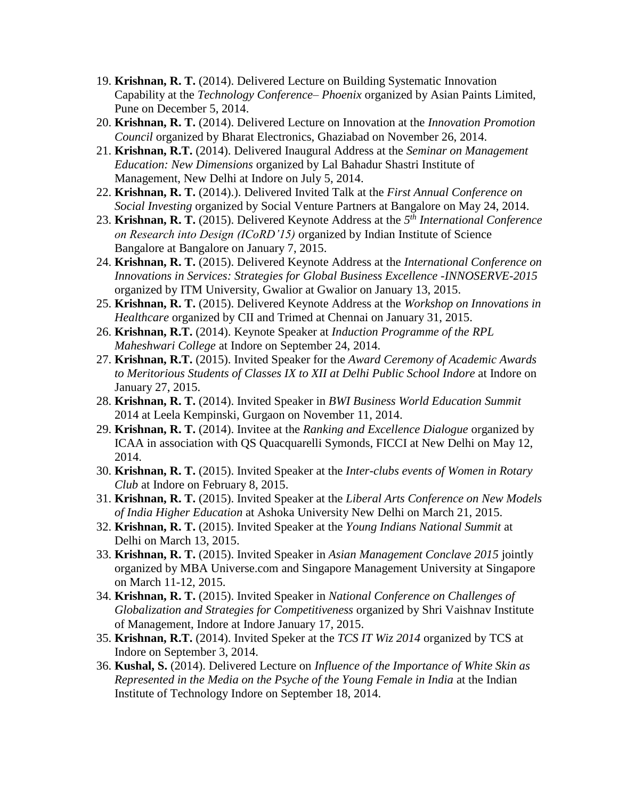- 19. **Krishnan, R. T.** (2014). Delivered Lecture on Building Systematic Innovation Capability at the *Technology Conference– Phoenix* organized by Asian Paints Limited, Pune on December 5, 2014.
- 20. **Krishnan, R. T.** (2014). Delivered Lecture on Innovation at the *Innovation Promotion Council* organized by Bharat Electronics, Ghaziabad on November 26, 2014.
- 21. **Krishnan, R.T.** (2014). Delivered Inaugural Address at the *Seminar on Management Education: New Dimensions* organized by Lal Bahadur Shastri Institute of Management, New Delhi at Indore on July 5, 2014.
- 22. **Krishnan, R. T.** (2014).). Delivered Invited Talk at the *First Annual Conference on Social Investing* organized by Social Venture Partners at Bangalore on May 24, 2014.
- 23. **Krishnan, R. T.** (2015). Delivered Keynote Address at the *5 th International Conference on Research into Design (ICoRD'15)* organized by Indian Institute of Science Bangalore at Bangalore on January 7, 2015.
- 24. **Krishnan, R. T.** (2015). Delivered Keynote Address at the *International Conference on Innovations in Services: Strategies for Global Business Excellence -INNOSERVE-2015* organized by ITM University, Gwalior at Gwalior on January 13, 2015.
- 25. **Krishnan, R. T.** (2015). Delivered Keynote Address at the *Workshop on Innovations in Healthcare* organized by CII and Trimed at Chennai on January 31, 2015.
- 26. **Krishnan, R.T.** (2014). Keynote Speaker at *Induction Programme of the RPL Maheshwari College* at Indore on September 24, 2014.
- 27. **Krishnan, R.T.** (2015). Invited Speaker for the *Award Ceremony of Academic Awards to Meritorious Students of Classes IX to XII at Delhi Public School Indore* at Indore on January 27, 2015.
- 28. **Krishnan, R. T.** (2014). Invited Speaker in *BWI Business World Education Summit* 2014 at Leela Kempinski, Gurgaon on November 11, 2014.
- 29. **Krishnan, R. T.** (2014). Invitee at the *Ranking and Excellence Dialogue* organized by ICAA in association with QS Quacquarelli Symonds, FICCI at New Delhi on May 12, 2014.
- 30. **Krishnan, R. T.** (2015). Invited Speaker at the *Inter-clubs events of Women in Rotary Club* at Indore on February 8, 2015.
- 31. **Krishnan, R. T.** (2015). Invited Speaker at the *Liberal Arts Conference on New Models of India Higher Education* at Ashoka University New Delhi on March 21, 2015.
- 32. **Krishnan, R. T.** (2015). Invited Speaker at the *Young Indians National Summit* at Delhi on March 13, 2015.
- 33. **Krishnan, R. T.** (2015). Invited Speaker in *Asian Management Conclave 2015* jointly organized by MBA Universe.com and Singapore Management University at Singapore on March 11-12, 2015.
- 34. **Krishnan, R. T.** (2015). Invited Speaker in *National Conference on Challenges of Globalization and Strategies for Competitiveness* organized by Shri Vaishnav Institute of Management, Indore at Indore January 17, 2015.
- 35. **Krishnan, R.T.** (2014). Invited Speker at the *TCS IT Wiz 2014* organized by TCS at Indore on September 3, 2014.
- 36. **Kushal, S.** (2014). Delivered Lecture on *Influence of the Importance of White Skin as Represented in the Media on the Psyche of the Young Female in India* at the Indian Institute of Technology Indore on September 18, 2014.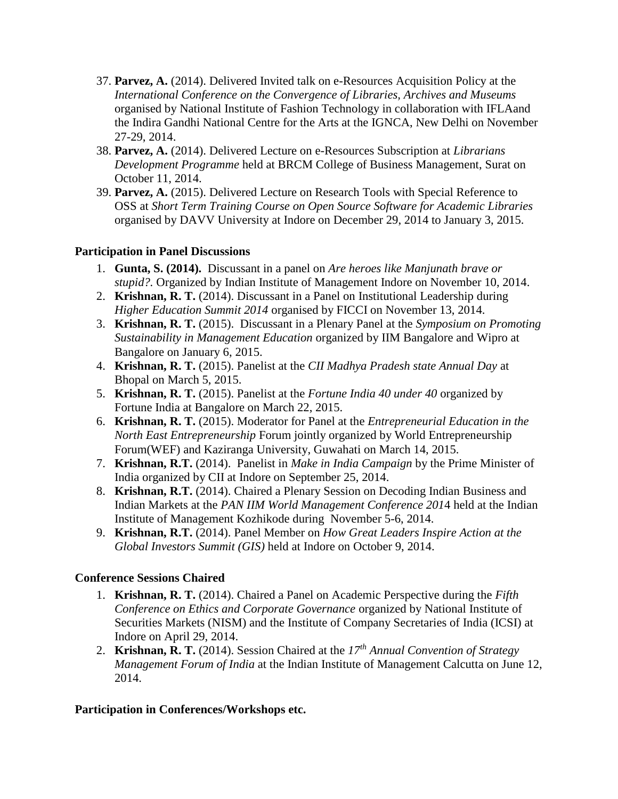- 37. **Parvez, A.** (2014). Delivered Invited talk on e-Resources Acquisition Policy at the *International Conference on the Convergence of Libraries, Archives and Museums*  organised by National Institute of Fashion Technology in collaboration with IFLAand the Indira Gandhi National Centre for the Arts at the IGNCA, New Delhi on November 27-29, 2014.
- 38. **Parvez, A.** (2014). Delivered Lecture on e-Resources Subscription at *Librarians Development Programme* held at BRCM College of Business Management, Surat on October 11, 2014.
- 39. **Parvez, A.** (2015). Delivered Lecture on Research Tools with Special Reference to OSS at *Short Term Training Course on Open Source Software for Academic Libraries*  organised by DAVV University at Indore on December 29, 2014 to January 3, 2015.

### **Participation in Panel Discussions**

- 1. **Gunta, S. (2014).** Discussant in a panel on *Are heroes like Manjunath brave or stupid?.* Organized by Indian Institute of Management Indore on November 10, 2014.
- 2. **Krishnan, R. T.** (2014). Discussant in a Panel on Institutional Leadership during *Higher Education Summit 2014* organised by FICCI on November 13, 2014.
- 3. **Krishnan, R. T.** (2015). Discussant in a Plenary Panel at the *Symposium on Promoting Sustainability in Management Education* organized by IIM Bangalore and Wipro at Bangalore on January 6, 2015.
- 4. **Krishnan, R. T.** (2015). Panelist at the *CII Madhya Pradesh state Annual Day* at Bhopal on March 5, 2015.
- 5. **Krishnan, R. T.** (2015). Panelist at the *Fortune India 40 under 40* organized by Fortune India at Bangalore on March 22, 2015.
- 6. **Krishnan, R. T.** (2015). Moderator for Panel at the *Entrepreneurial Education in the North East Entrepreneurship* Forum jointly organized by World Entrepreneurship Forum(WEF) and Kaziranga University, Guwahati on March 14, 2015.
- 7. **Krishnan, R.T.** (2014). Panelist in *Make in India Campaign* by the Prime Minister of India organized by CII at Indore on September 25, 2014.
- 8. **Krishnan, R.T.** (2014). Chaired a Plenary Session on Decoding Indian Business and Indian Markets at the *PAN IIM World Management Conference 201*4 held at the Indian Institute of Management Kozhikode during November 5-6, 2014.
- 9. **Krishnan, R.T.** (2014). Panel Member on *How Great Leaders Inspire Action at the Global Investors Summit (GIS)* held at Indore on October 9, 2014.

#### **Conference Sessions Chaired**

- 1. **Krishnan, R. T.** (2014). Chaired a Panel on Academic Perspective during the *Fifth Conference on Ethics and Corporate Governance* organized by National Institute of Securities Markets (NISM) and the Institute of Company Secretaries of India (ICSI) at Indore on April 29, 2014.
- 2. **Krishnan, R. T.** (2014). Session Chaired at the *17th Annual Convention of Strategy Management Forum of India* at the Indian Institute of Management Calcutta on June 12, 2014.

# **Participation in Conferences/Workshops etc.**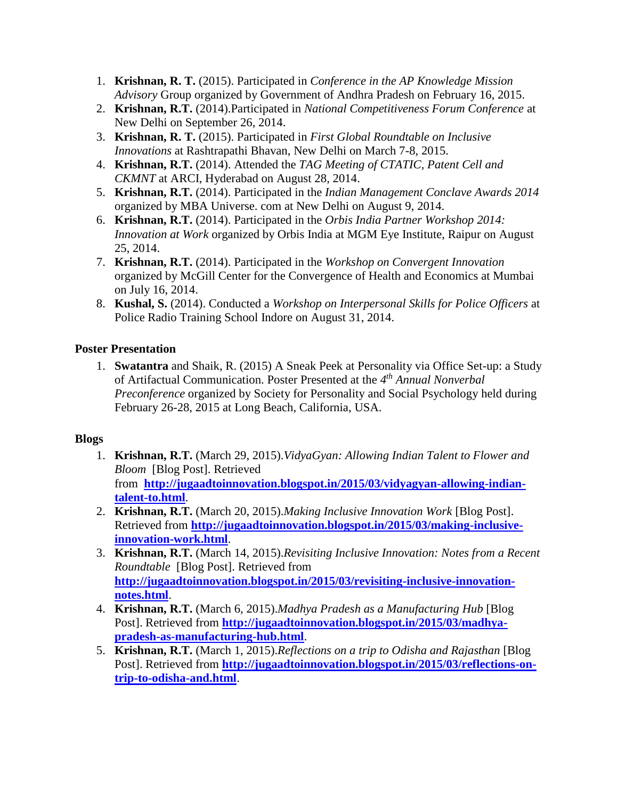- 1. **Krishnan, R. T.** (2015). Participated in *Conference in the AP Knowledge Mission Advisory* Group organized by Government of Andhra Pradesh on February 16, 2015.
- 2. **Krishnan, R.T.** (2014).Participated in *National Competitiveness Forum Conference* at New Delhi on September 26, 2014.
- 3. **Krishnan, R. T.** (2015). Participated in *First Global Roundtable on Inclusive Innovations* at Rashtrapathi Bhavan, New Delhi on March 7-8, 2015.
- 4. **Krishnan, R.T.** (2014). Attended the *TAG Meeting of CTATIC, Patent Cell and CKMNT* at ARCI, Hyderabad on August 28, 2014.
- 5. **Krishnan, R.T.** (2014). Participated in the *Indian Management Conclave Awards 2014*  organized by MBA Universe. com at New Delhi on August 9, 2014.
- 6. **Krishnan, R.T.** (2014). Participated in the *Orbis India Partner Workshop 2014: Innovation at Work* organized by Orbis India at MGM Eye Institute, Raipur on August 25, 2014.
- 7. **Krishnan, R.T.** (2014). Participated in the *Workshop on Convergent Innovation* organized by McGill Center for the Convergence of Health and Economics at Mumbai on July 16, 2014.
- 8. **Kushal, S.** (2014). Conducted a *Workshop on Interpersonal Skills for Police Officers* at Police Radio Training School Indore on August 31, 2014.

# **Poster Presentation**

1. **Swatantra** and Shaik, R. (2015) A Sneak Peek at Personality via Office Set-up: a Study of Artifactual Communication. Poster Presented at the *4 th Annual Nonverbal Preconference* organized by Society for Personality and Social Psychology held during February 26-28, 2015 at Long Beach, California, USA.

# **Blogs**

- 1. **Krishnan, R.T.** (March 29, 2015).*VidyaGyan: Allowing Indian Talent to Flower and Bloom* [Blog Post]. Retrieved from **[http://jugaadtoinnovation.blogspot.in/2015/03/vidyagyan-allowing-indian](http://jugaadtoinnovation.blogspot.in/2015/03/vidyagyan-allowing-indian-talent-to.html)[talent-to.html](http://jugaadtoinnovation.blogspot.in/2015/03/vidyagyan-allowing-indian-talent-to.html)**.
- 2. **Krishnan, R.T.** (March 20, 2015).*Making Inclusive Innovation Work* [Blog Post]. Retrieved from **[http://jugaadtoinnovation.blogspot.in/2015/03/making-inclusive](http://jugaadtoinnovation.blogspot.in/2015/03/making-inclusive-innovation-work.html)[innovation-work.html](http://jugaadtoinnovation.blogspot.in/2015/03/making-inclusive-innovation-work.html)**.
- 3. **Krishnan, R.T.** (March 14, 2015).*Revisiting Inclusive Innovation: Notes from a Recent Roundtable* [Blog Post]. Retrieved from **[http://jugaadtoinnovation.blogspot.in/2015/03/revisiting-inclusive-innovation](http://jugaadtoinnovation.blogspot.in/2015/03/revisiting-inclusive-innovation-notes.html)[notes.html](http://jugaadtoinnovation.blogspot.in/2015/03/revisiting-inclusive-innovation-notes.html)**.
- 4. **Krishnan, R.T.** (March 6, 2015).*Madhya Pradesh as a Manufacturing Hub* [Blog Post]. Retrieved from **[http://jugaadtoinnovation.blogspot.in/2015/03/madhya](http://jugaadtoinnovation.blogspot.in/2015/03/madhya-pradesh-as-manufacturing-hub.html)[pradesh-as-manufacturing-hub.html](http://jugaadtoinnovation.blogspot.in/2015/03/madhya-pradesh-as-manufacturing-hub.html)**.
- 5. **Krishnan, R.T.** (March 1, 2015).*Reflections on a trip to Odisha and Rajasthan* [Blog Post]. Retrieved from **[http://jugaadtoinnovation.blogspot.in/2015/03/reflections-on](http://jugaadtoinnovation.blogspot.in/2015/03/reflections-on-trip-to-odisha-and.html)[trip-to-odisha-and.html](http://jugaadtoinnovation.blogspot.in/2015/03/reflections-on-trip-to-odisha-and.html)**.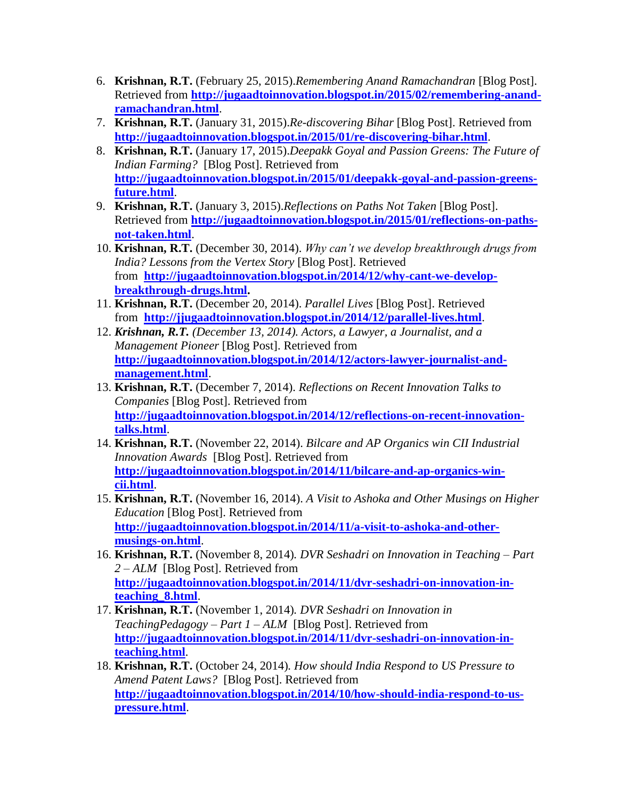- 6. **Krishnan, R.T.** (February 25, 2015).*Remembering Anand Ramachandran* [Blog Post]. Retrieved from **[http://jugaadtoinnovation.blogspot.in/2015/02/remembering-anand](http://jugaadtoinnovation.blogspot.in/2015/02/remembering-anand-ramachandran.html)[ramachandran.html](http://jugaadtoinnovation.blogspot.in/2015/02/remembering-anand-ramachandran.html)**.
- 7. **Krishnan, R.T.** (January 31, 2015).*Re-discovering Bihar* [Blog Post]. Retrieved from **<http://jugaadtoinnovation.blogspot.in/2015/01/re-discovering-bihar.html>**.
- 8. **Krishnan, R.T.** (January 17, 2015).*Deepakk Goyal and Passion Greens: The Future of Indian Farming?* [Blog Post]. Retrieved from **[http://jugaadtoinnovation.blogspot.in/2015/01/deepakk-goyal-and-passion-greens](http://jugaadtoinnovation.blogspot.in/2015/01/deepakk-goyal-and-passion-greens-future.html)[future.html](http://jugaadtoinnovation.blogspot.in/2015/01/deepakk-goyal-and-passion-greens-future.html)**.
- 9. **Krishnan, R.T.** (January 3, 2015).*Reflections on Paths Not Taken* [Blog Post]. Retrieved from **[http://jugaadtoinnovation.blogspot.in/2015/01/reflections-on-paths](http://jugaadtoinnovation.blogspot.in/2015/01/reflections-on-paths-not-taken.html)[not-taken.html](http://jugaadtoinnovation.blogspot.in/2015/01/reflections-on-paths-not-taken.html)**.
- 10. **Krishnan, R.T.** (December 30, 2014). *Why can't we develop breakthrough drugs from India? Lessons from the Vertex Story* [Blog Post]. Retrieved from **[http://jugaadtoinnovation.blogspot.in/2014/12/why-cant-we-develop](http://jugaadtoinnovation.blogspot.in/2014/12/why-cant-we-develop-breakthrough-drugs.html)[breakthrough-drugs.html.](http://jugaadtoinnovation.blogspot.in/2014/12/why-cant-we-develop-breakthrough-drugs.html)**
- 11. **Krishnan, R.T.** (December 20, 2014). *Parallel Lives* [Blog Post]. Retrieved from **<http://jjugaadtoinnovation.blogspot.in/2014/12/parallel-lives.html>**.
- 12. *Krishnan, R.T. (December 13, 2014). Actors, a Lawyer, a Journalist, and a Management Pioneer* [Blog Post]. Retrieved from **[http://jugaadtoinnovation.blogspot.in/2014/12/actors-lawyer-journalist-and](http://jugaadtoinnovation.blogspot.in/2014/12/actors-lawyer-journalist-and-management.html)[management.html](http://jugaadtoinnovation.blogspot.in/2014/12/actors-lawyer-journalist-and-management.html)**.
- 13. **Krishnan, R.T.** (December 7, 2014). *Reflections on Recent Innovation Talks to Companies* [Blog Post]. Retrieved from **[http://jugaadtoinnovation.blogspot.in/2014/12/reflections-on-recent-innovation](http://jugaadtoinnovation.blogspot.in/2014/12/reflections-on-recent-innovation-talks.html)[talks.html](http://jugaadtoinnovation.blogspot.in/2014/12/reflections-on-recent-innovation-talks.html)**.
- 14. **Krishnan, R.T.** (November 22, 2014). *Bilcare and AP Organics win CII Industrial Innovation Awards* [Blog Post]. Retrieved from **[http://jugaadtoinnovation.blogspot.in/2014/11/bilcare-and-ap-organics-win](http://jugaadtoinnovation.blogspot.in/2014/11/bilcare-and-ap-organics-win-cii.html)[cii.html](http://jugaadtoinnovation.blogspot.in/2014/11/bilcare-and-ap-organics-win-cii.html)**.
- 15. **Krishnan, R.T.** (November 16, 2014). *A Visit to Ashoka and Other Musings on Higher Education* [Blog Post]. Retrieved from **[http://jugaadtoinnovation.blogspot.in/2014/11/a-visit-to-ashoka-and-other](http://jugaadtoinnovation.blogspot.in/2014/11/a-visit-to-ashoka-and-other-musings-on.html)[musings-on.html](http://jugaadtoinnovation.blogspot.in/2014/11/a-visit-to-ashoka-and-other-musings-on.html)**.
- 16. **Krishnan, R.T.** (November 8, 2014)*. DVR Seshadri on Innovation in Teaching – Part 2 – ALM* [Blog Post]. Retrieved from **[http://jugaadtoinnovation.blogspot.in/2014/11/dvr-seshadri-on-innovation-in](http://jugaadtoinnovation.blogspot.in/2014/11/dvr-seshadri-on-innovation-in-teaching_8.html)[teaching\\_8.html](http://jugaadtoinnovation.blogspot.in/2014/11/dvr-seshadri-on-innovation-in-teaching_8.html)**.
- 17. **Krishnan, R.T.** (November 1, 2014)*. DVR Seshadri on Innovation in TeachingPedagogy – Part 1 – ALM* [Blog Post]. Retrieved from **[http://jugaadtoinnovation.blogspot.in/2014/11/dvr-seshadri-on-innovation-in](http://jugaadtoinnovation.blogspot.in/2014/11/dvr-seshadri-on-innovation-in-teaching.html)[teaching.html](http://jugaadtoinnovation.blogspot.in/2014/11/dvr-seshadri-on-innovation-in-teaching.html)**.
- 18. **Krishnan, R.T.** (October 24, 2014)*. How should India Respond to US Pressure to Amend Patent Laws?* [Blog Post]. Retrieved from **[http://jugaadtoinnovation.blogspot.in/2014/10/how-should-india-respond-to-us](http://jugaadtoinnovation.blogspot.in/2014/10/how-should-india-respond-to-us-pressure.html)[pressure.html](http://jugaadtoinnovation.blogspot.in/2014/10/how-should-india-respond-to-us-pressure.html)**.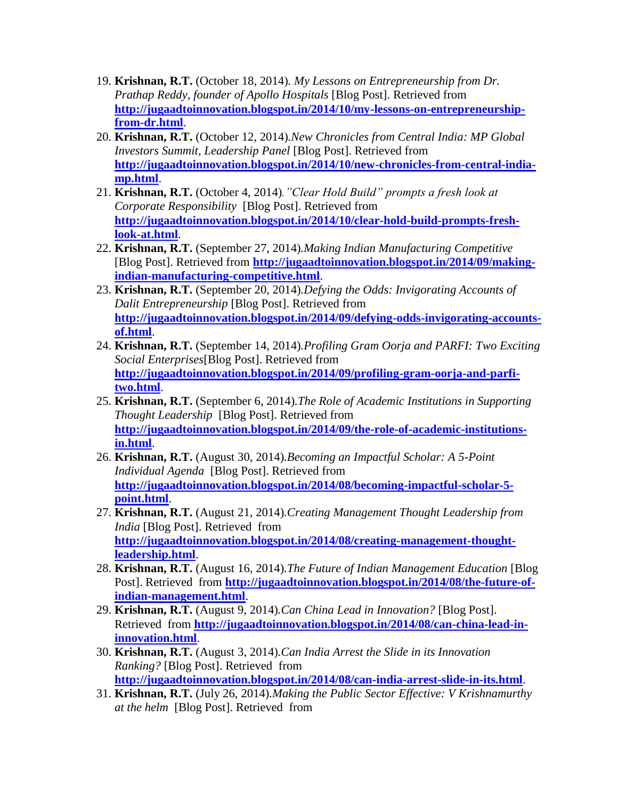- 19. **Krishnan, R.T.** (October 18, 2014)*. My Lessons on Entrepreneurship from Dr. Prathap Reddy, founder of Apollo Hospitals* [Blog Post]. Retrieved from **[http://jugaadtoinnovation.blogspot.in/2014/10/my-lessons-on-entrepreneurship](http://jugaadtoinnovation.blogspot.in/2014/10/my-lessons-on-entrepreneurship-from-dr.html)[from-dr.html](http://jugaadtoinnovation.blogspot.in/2014/10/my-lessons-on-entrepreneurship-from-dr.html)**.
- 20. **Krishnan, R.T.** (October 12, 2014)*.New Chronicles from Central India: MP Global Investors Summit, Leadership Panel* [Blog Post]. Retrieved from **[http://jugaadtoinnovation.blogspot.in/2014/10/new-chronicles-from-central-india](http://jugaadtoinnovation.blogspot.in/2014/10/new-chronicles-from-central-india-mp.html)[mp.html](http://jugaadtoinnovation.blogspot.in/2014/10/new-chronicles-from-central-india-mp.html)**.
- 21. **Krishnan, R.T.** (October 4, 2014)*."Clear Hold Build" prompts a fresh look at Corporate Responsibility* [Blog Post]. Retrieved from **[http://jugaadtoinnovation.blogspot.in/2014/10/clear-hold-build-prompts-fresh](http://jugaadtoinnovation.blogspot.in/2014/10/clear-hold-build-prompts-fresh-look-at.html)[look-at.html](http://jugaadtoinnovation.blogspot.in/2014/10/clear-hold-build-prompts-fresh-look-at.html)**.
- 22. **Krishnan, R.T.** (September 27, 2014)*.Making Indian Manufacturing Competitive* [Blog Post]. Retrieved from **[http://jugaadtoinnovation.blogspot.in/2014/09/making](http://jugaadtoinnovation.blogspot.in/2014/09/making-indian-manufacturing-competitive.html)[indian-manufacturing-competitive.html](http://jugaadtoinnovation.blogspot.in/2014/09/making-indian-manufacturing-competitive.html)**.
- 23. **Krishnan, R.T.** (September 20, 2014)*.Defying the Odds: Invigorating Accounts of Dalit Entrepreneurship* [Blog Post]. Retrieved from **[http://jugaadtoinnovation.blogspot.in/2014/09/defying-odds-invigorating-accounts](http://jugaadtoinnovation.blogspot.in/2014/09/defying-odds-invigorating-accounts-of.html)[of.html](http://jugaadtoinnovation.blogspot.in/2014/09/defying-odds-invigorating-accounts-of.html)**.
- 24. **Krishnan, R.T.** (September 14, 2014)*.Profiling Gram Oorja and PARFI: Two Exciting Social Enterprises*[Blog Post]. Retrieved from **[http://jugaadtoinnovation.blogspot.in/2014/09/profiling-gram-oorja-and-parfi](http://jugaadtoinnovation.blogspot.in/2014/09/profiling-gram-oorja-and-parfi-two.html)[two.html](http://jugaadtoinnovation.blogspot.in/2014/09/profiling-gram-oorja-and-parfi-two.html)**.
- 25. **Krishnan, R.T.** (September 6, 2014)*.The Role of Academic Institutions in Supporting Thought Leadership* [Blog Post]. Retrieved from **[http://jugaadtoinnovation.blogspot.in/2014/09/the-role-of-academic-institutions](http://jugaadtoinnovation.blogspot.in/2014/09/the-role-of-academic-institutions-in.html)[in.html](http://jugaadtoinnovation.blogspot.in/2014/09/the-role-of-academic-institutions-in.html)**.
- 26. **Krishnan, R.T.** (August 30, 2014)*.Becoming an Impactful Scholar: A 5-Point Individual Agenda* [Blog Post]. Retrieved from **[http://jugaadtoinnovation.blogspot.in/2014/08/becoming-impactful-scholar-5](http://jugaadtoinnovation.blogspot.in/2014/08/becoming-impactful-scholar-5-point.html) [point.html](http://jugaadtoinnovation.blogspot.in/2014/08/becoming-impactful-scholar-5-point.html)**.
- 27. **Krishnan, R.T.** (August 21, 2014)*.Creating Management Thought Leadership from India* [Blog Post]. Retrieved from **[http://jugaadtoinnovation.blogspot.in/2014/08/creating-management-thought](http://jugaadtoinnovation.blogspot.in/2014/08/creating-management-thought-leadership.html)[leadership.html](http://jugaadtoinnovation.blogspot.in/2014/08/creating-management-thought-leadership.html)**.
- 28. **Krishnan, R.T.** (August 16, 2014)*.The Future of Indian Management Education* [Blog Post]. Retrieved from **[http://jugaadtoinnovation.blogspot.in/2014/08/the-future-of](http://jugaadtoinnovation.blogspot.in/2014/08/the-future-of-indian-management.html)[indian-management.html](http://jugaadtoinnovation.blogspot.in/2014/08/the-future-of-indian-management.html)**.
- 29. **Krishnan, R.T.** (August 9, 2014)*.Can China Lead in Innovation?* [Blog Post]. Retrieved from **[http://jugaadtoinnovation.blogspot.in/2014/08/can-china-lead-in](http://jugaadtoinnovation.blogspot.in/2014/08/can-china-lead-in-innovation.html)[innovation.html](http://jugaadtoinnovation.blogspot.in/2014/08/can-china-lead-in-innovation.html)**.
- 30. **Krishnan, R.T.** (August 3, 2014)*.Can India Arrest the Slide in its Innovation Ranking?* [Blog Post]. Retrieved from **<http://jugaadtoinnovation.blogspot.in/2014/08/can-india-arrest-slide-in-its.html>**.
- 31. **Krishnan, R.T.** (July 26, 2014)*.Making the Public Sector Effective: V Krishnamurthy at the helm* [Blog Post]. Retrieved from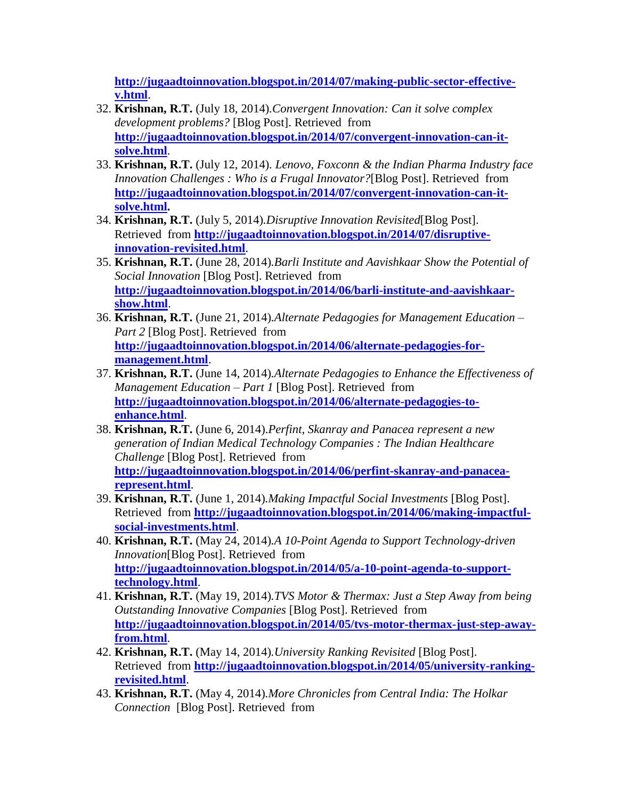**[http://jugaadtoinnovation.blogspot.in/2014/07/making-public-sector-effective](http://jugaadtoinnovation.blogspot.in/2014/07/making-public-sector-effective-v.html)[v.html](http://jugaadtoinnovation.blogspot.in/2014/07/making-public-sector-effective-v.html)**.

- 32. **Krishnan, R.T.** (July 18, 2014)*.Convergent Innovation: Can it solve complex development problems?* [Blog Post]. Retrieved from **[http://jugaadtoinnovation.blogspot.in/2014/07/convergent-innovation-can-it](http://jugaadtoinnovation.blogspot.in/2014/07/convergent-innovation-can-it-solve.html)[solve.html](http://jugaadtoinnovation.blogspot.in/2014/07/convergent-innovation-can-it-solve.html)**.
- 33. **Krishnan, R.T.** (July 12, 2014)*. Lenovo, Foxconn & the Indian Pharma Industry face Innovation Challenges : Who is a Frugal Innovator?*[Blog Post]. Retrieved from **[http://jugaadtoinnovation.blogspot.in/2014/07/convergent-innovation-can-it](http://jugaadtoinnovation.blogspot.in/2014/07/convergent-innovation-can-it-solve.html)[solve.html.](http://jugaadtoinnovation.blogspot.in/2014/07/convergent-innovation-can-it-solve.html)**
- 34. **Krishnan, R.T.** (July 5, 2014)*.Disruptive Innovation Revisited*[Blog Post]. Retrieved from **[http://jugaadtoinnovation.blogspot.in/2014/07/disruptive](http://jugaadtoinnovation.blogspot.in/2014/07/disruptive-innovation-revisited.html)[innovation-revisited.html](http://jugaadtoinnovation.blogspot.in/2014/07/disruptive-innovation-revisited.html)**.
- 35. **Krishnan, R.T.** (June 28, 2014)*.Barli Institute and Aavishkaar Show the Potential of Social Innovation* [Blog Post]. Retrieved from **[http://jugaadtoinnovation.blogspot.in/2014/06/barli-institute-and-aavishkaar](http://jugaadtoinnovation.blogspot.in/2014/06/barli-institute-and-aavishkaar-show.html)[show.html](http://jugaadtoinnovation.blogspot.in/2014/06/barli-institute-and-aavishkaar-show.html)**.
- 36. **Krishnan, R.T.** (June 21, 2014)*.Alternate Pedagogies for Management Education – Part 2* [Blog Post]. Retrieved from **[http://jugaadtoinnovation.blogspot.in/2014/06/alternate-pedagogies-for](http://jugaadtoinnovation.blogspot.in/2014/06/alternate-pedagogies-for-management.html)[management.html](http://jugaadtoinnovation.blogspot.in/2014/06/alternate-pedagogies-for-management.html)**.
- 37. **Krishnan, R.T.** (June 14, 2014)*.Alternate Pedagogies to Enhance the Effectiveness of Management Education – Part 1* [Blog Post]. Retrieved from **[http://jugaadtoinnovation.blogspot.in/2014/06/alternate-pedagogies-to](http://jugaadtoinnovation.blogspot.in/2014/06/alternate-pedagogies-to-enhance.html)[enhance.html](http://jugaadtoinnovation.blogspot.in/2014/06/alternate-pedagogies-to-enhance.html)**.
- 38. **Krishnan, R.T.** (June 6, 2014).*Perfint, Skanray and Panacea represent a new generation of Indian Medical Technology Companies : The Indian Healthcare Challenge* [Blog Post]. Retrieved from **[http://jugaadtoinnovation.blogspot.in/2014/06/perfint-skanray-and-panacea](http://jugaadtoinnovation.blogspot.in/2014/06/perfint-skanray-and-panacea-represent.html)[represent.html](http://jugaadtoinnovation.blogspot.in/2014/06/perfint-skanray-and-panacea-represent.html)**.
- 39. **Krishnan, R.T.** (June 1, 2014)*.Making Impactful Social Investments* [Blog Post]. Retrieved from **[http://jugaadtoinnovation.blogspot.in/2014/06/making-impactful](http://jugaadtoinnovation.blogspot.in/2014/06/making-impactful-social-investments.html)[social-investments.html](http://jugaadtoinnovation.blogspot.in/2014/06/making-impactful-social-investments.html)**.
- 40. **Krishnan, R.T.** (May 24, 2014)*.A 10-Point Agenda to Support Technology-driven Innovation*[Blog Post]. Retrieved from **[http://jugaadtoinnovation.blogspot.in/2014/05/a-10-point-agenda-to-support](http://jugaadtoinnovation.blogspot.in/2014/05/a-10-point-agenda-to-support-technology.html)[technology.html](http://jugaadtoinnovation.blogspot.in/2014/05/a-10-point-agenda-to-support-technology.html)**.
- 41. **Krishnan, R.T.** (May 19, 2014)*.TVS Motor & Thermax: Just a Step Away from being Outstanding Innovative Companies* [Blog Post]. Retrieved from **[http://jugaadtoinnovation.blogspot.in/2014/05/tvs-motor-thermax-just-step-away](http://jugaadtoinnovation.blogspot.in/2014/05/tvs-motor-thermax-just-step-away-from.html)[from.html](http://jugaadtoinnovation.blogspot.in/2014/05/tvs-motor-thermax-just-step-away-from.html)**.
- 42. **Krishnan, R.T.** (May 14, 2014)*.University Ranking Revisited* [Blog Post]. Retrieved from **[http://jugaadtoinnovation.blogspot.in/2014/05/university-ranking](http://jugaadtoinnovation.blogspot.in/2014/05/university-ranking-revisited.html)[revisited.html](http://jugaadtoinnovation.blogspot.in/2014/05/university-ranking-revisited.html)**.
- 43. **Krishnan, R.T.** (May 4, 2014)*.More Chronicles from Central India: The Holkar Connection* [Blog Post]. Retrieved from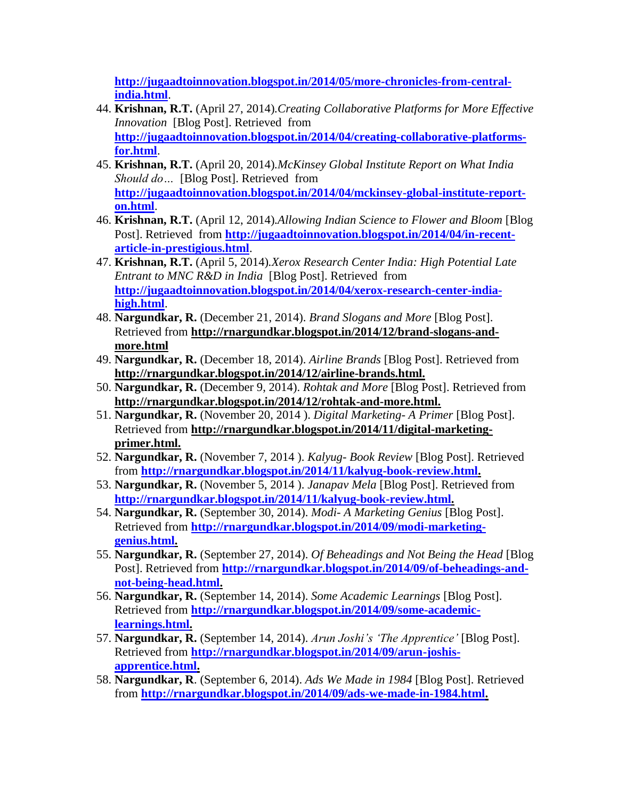**[http://jugaadtoinnovation.blogspot.in/2014/05/more-chronicles-from-central](http://jugaadtoinnovation.blogspot.in/2014/05/more-chronicles-from-central-india.html)[india.html](http://jugaadtoinnovation.blogspot.in/2014/05/more-chronicles-from-central-india.html)**.

- 44. **Krishnan, R.T.** (April 27, 2014)*.Creating Collaborative Platforms for More Effective Innovation* [Blog Post]. Retrieved from **[http://jugaadtoinnovation.blogspot.in/2014/04/creating-collaborative-platforms](http://jugaadtoinnovation.blogspot.in/2014/04/creating-collaborative-platforms-for.html)[for.html](http://jugaadtoinnovation.blogspot.in/2014/04/creating-collaborative-platforms-for.html)**.
- 45. **Krishnan, R.T.** (April 20, 2014)*.McKinsey Global Institute Report on What India Should do…* [Blog Post]. Retrieved from **[http://jugaadtoinnovation.blogspot.in/2014/04/mckinsey-global-institute-report](http://jugaadtoinnovation.blogspot.in/2014/04/mckinsey-global-institute-report-on.html)[on.html](http://jugaadtoinnovation.blogspot.in/2014/04/mckinsey-global-institute-report-on.html)**.
- 46. **Krishnan, R.T.** (April 12, 2014)*.Allowing Indian Science to Flower and Bloom* [Blog Post]. Retrieved from **[http://jugaadtoinnovation.blogspot.in/2014/04/in-recent](http://jugaadtoinnovation.blogspot.in/2014/04/in-recent-article-in-prestigious.html)[article-in-prestigious.html](http://jugaadtoinnovation.blogspot.in/2014/04/in-recent-article-in-prestigious.html)**.
- 47. **Krishnan, R.T.** (April 5, 2014)*.Xerox Research Center India: High Potential Late Entrant to MNC R&D in India* [Blog Post]. Retrieved from **[http://jugaadtoinnovation.blogspot.in/2014/04/xerox-research-center-india](http://jugaadtoinnovation.blogspot.in/2014/04/xerox-research-center-india-high.html)[high.html](http://jugaadtoinnovation.blogspot.in/2014/04/xerox-research-center-india-high.html)**.
- 48. **Nargundkar, R.** (December 21, 2014). *Brand Slogans and More* [Blog Post]. Retrieved from **http://rnargundkar.blogspot.in/2014/12/brand-slogans-andmore.html**
- 49. **Nargundkar, R.** (December 18, 2014). *Airline Brands* [Blog Post]. Retrieved from **http://rnargundkar.blogspot.in/2014/12/airline-brands.html.**
- 50. **Nargundkar, R.** (December 9, 2014). *Rohtak and More* [Blog Post]. Retrieved from **http://rnargundkar.blogspot.in/2014/12/rohtak-and-more.html.**
- 51. **Nargundkar, R.** (November 20, 2014 ). *Digital Marketing- A Primer* [Blog Post]. Retrieved from **http://rnargundkar.blogspot.in/2014/11/digital-marketingprimer.html.**
- 52. **Nargundkar, R.** (November 7, 2014 ). *Kalyug- Book Review* [Blog Post]. Retrieved from **[http://rnargundkar.blogspot.in/2014/11/kalyug-book-review.html.](http://rnargundkar.blogspot.in/2014/11/kalyug-book-review.html)**
- 53. **Nargundkar, R.** (November 5, 2014 ). *Janapav Mela* [Blog Post]. Retrieved from **[http://rnargundkar.blogspot.in/2014/11/kalyug-book-review.html.](http://rnargundkar.blogspot.in/2014/11/kalyug-book-review.html)**
- 54. **Nargundkar, R.** (September 30, 2014). *Modi- A Marketing Genius* [Blog Post]. Retrieved from **[http://rnargundkar.blogspot.in/2014/09/modi-marketing](http://rnargundkar.blogspot.in/2014/09/modi-marketing-genius.html)[genius.html.](http://rnargundkar.blogspot.in/2014/09/modi-marketing-genius.html)**
- 55. **Nargundkar, R.** (September 27, 2014). *Of Beheadings and Not Being the Head* [Blog Post]. Retrieved from **[http://rnargundkar.blogspot.in/2014/09/of-beheadings-and](http://rnargundkar.blogspot.in/2014/09/of-beheadings-and-not-being-head.html)[not-being-head.html.](http://rnargundkar.blogspot.in/2014/09/of-beheadings-and-not-being-head.html)**
- 56. **Nargundkar, R.** (September 14, 2014). *Some Academic Learnings* [Blog Post]. Retrieved from **[http://rnargundkar.blogspot.in/2014/09/some-academic](http://rnargundkar.blogspot.in/2014/09/some-academic-learnings.html)[learnings.html.](http://rnargundkar.blogspot.in/2014/09/some-academic-learnings.html)**
- 57. **Nargundkar, R.** (September 14, 2014). *Arun Joshi's 'The Apprentice'* [Blog Post]. Retrieved from **[http://rnargundkar.blogspot.in/2014/09/arun-joshis](http://rnargundkar.blogspot.in/2014/09/arun-joshis-apprentice.html)[apprentice.html.](http://rnargundkar.blogspot.in/2014/09/arun-joshis-apprentice.html)**
- 58. **Nargundkar, R**. (September 6, 2014). *Ads We Made in 1984* [Blog Post]. Retrieved from **[http://rnargundkar.blogspot.in/2014/09/ads-we-made-in-1984.html.](http://rnargundkar.blogspot.in/2014/09/ads-we-made-in-1984.html)**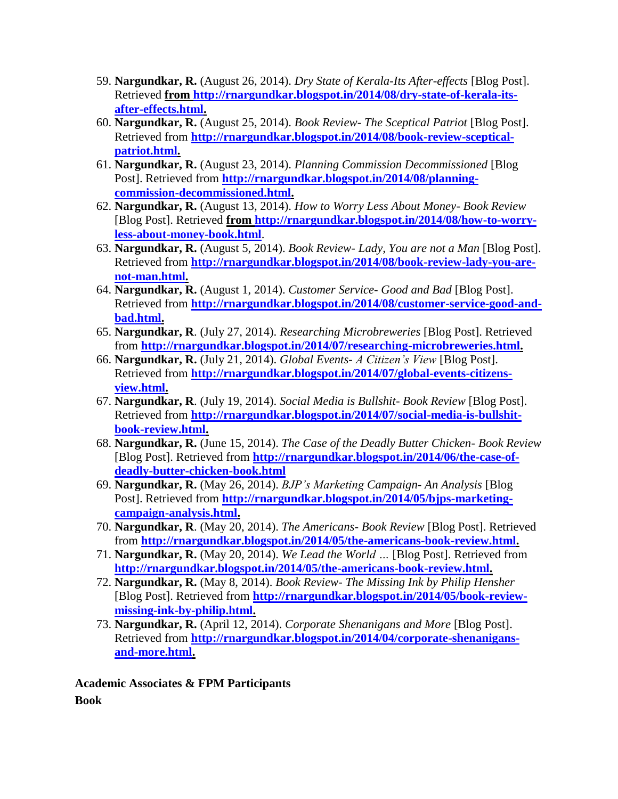- 59. **Nargundkar, R.** (August 26, 2014). *Dry State of Kerala-Its After-effects* [Blog Post]. Retrieved **from [http://rnargundkar.blogspot.in/2014/08/dry-state-of-kerala-its](http://rnargundkar.blogspot.in/2014/08/dry-state-of-kerala-its-after-effects.html)[after-effects.html.](http://rnargundkar.blogspot.in/2014/08/dry-state-of-kerala-its-after-effects.html)**
- 60. **Nargundkar, R.** (August 25, 2014). *Book Review- The Sceptical Patriot* [Blog Post]. Retrieved from **[http://rnargundkar.blogspot.in/2014/08/book-review-sceptical](http://rnargundkar.blogspot.in/2014/08/book-review-sceptical-patriot.html)[patriot.html.](http://rnargundkar.blogspot.in/2014/08/book-review-sceptical-patriot.html)**
- 61. **Nargundkar, R.** (August 23, 2014). *Planning Commission Decommissioned* [Blog Post]. Retrieved from **[http://rnargundkar.blogspot.in/2014/08/planning](http://rnargundkar.blogspot.in/2014/08/planning-commission-decommissioned.html)[commission-decommissioned.html.](http://rnargundkar.blogspot.in/2014/08/planning-commission-decommissioned.html)**
- 62. **Nargundkar, R.** (August 13, 2014). *How to Worry Less About Money- Book Review* [Blog Post]. Retrieved **from [http://rnargundkar.blogspot.in/2014/08/how-to-worry](http://rnargundkar.blogspot.in/2014/08/how-to-worry-less-about-money-book.html)[less-about-money-book.html](http://rnargundkar.blogspot.in/2014/08/how-to-worry-less-about-money-book.html)**.
- 63. **Nargundkar, R.** (August 5, 2014). *Book Review- Lady, You are not a Man* [Blog Post]. Retrieved from **[http://rnargundkar.blogspot.in/2014/08/book-review-lady-you-are](http://rnargundkar.blogspot.in/2014/08/book-review-lady-you-are-not-man.html)[not-man.html.](http://rnargundkar.blogspot.in/2014/08/book-review-lady-you-are-not-man.html)**
- 64. **Nargundkar, R.** (August 1, 2014). *Customer Service- Good and Bad* [Blog Post]. Retrieved from **[http://rnargundkar.blogspot.in/2014/08/customer-service-good-and](http://rnargundkar.blogspot.in/2014/08/customer-service-good-and-bad.html)[bad.html.](http://rnargundkar.blogspot.in/2014/08/customer-service-good-and-bad.html)**
- 65. **Nargundkar, R**. (July 27, 2014). *Researching Microbreweries* [Blog Post]. Retrieved from **[http://rnargundkar.blogspot.in/2014/07/researching-microbreweries.html.](http://rnargundkar.blogspot.in/2014/07/researching-microbreweries.html)**
- 66. **Nargundkar, R.** (July 21, 2014). *Global Events- A Citizen's View* [Blog Post]. Retrieved from **[http://rnargundkar.blogspot.in/2014/07/global-events-citizens](http://rnargundkar.blogspot.in/2014/07/global-events-citizens-view.html)[view.html.](http://rnargundkar.blogspot.in/2014/07/global-events-citizens-view.html)**
- 67. **Nargundkar, R**. (July 19, 2014). *Social Media is Bullshit- Book Review* [Blog Post]. Retrieved from **[http://rnargundkar.blogspot.in/2014/07/social-media-is-bullshit](http://rnargundkar.blogspot.in/2014/07/social-media-is-bullshit-book-review.html)[book-review.html.](http://rnargundkar.blogspot.in/2014/07/social-media-is-bullshit-book-review.html)**
- 68. **Nargundkar, R.** (June 15, 2014). *The Case of the Deadly Butter Chicken- Book Review* [Blog Post]. Retrieved from **[http://rnargundkar.blogspot.in/2014/06/the-case-of](http://rnargundkar.blogspot.in/2014/06/the-case-of-deadly-butter-chicken-book.html)[deadly-butter-chicken-book.html](http://rnargundkar.blogspot.in/2014/06/the-case-of-deadly-butter-chicken-book.html)**
- 69. **Nargundkar, R.** (May 26, 2014). *BJP's Marketing Campaign- An Analysis* [Blog Post]. Retrieved from **[http://rnargundkar.blogspot.in/2014/05/bjps-marketing](http://rnargundkar.blogspot.in/2014/05/bjps-marketing-campaign-analysis.html)[campaign-analysis.html.](http://rnargundkar.blogspot.in/2014/05/bjps-marketing-campaign-analysis.html)**
- 70. **Nargundkar, R**. (May 20, 2014). *The Americans- Book Review* [Blog Post]. Retrieved from **[http://rnargundkar.blogspot.in/2014/05/the-americans-book-review.html.](http://rnargundkar.blogspot.in/2014/05/the-americans-book-review.html)**
- 71. **Nargundkar, R.** (May 20, 2014). *We Lead the World …* [Blog Post]. Retrieved from **[http://rnargundkar.blogspot.in/2014/05/the-americans-book-review.html.](http://rnargundkar.blogspot.in/2014/05/the-americans-book-review.html)**
- 72. **Nargundkar, R.** (May 8, 2014). *Book Review- The Missing Ink by Philip Hensher* [Blog Post]. Retrieved from **[http://rnargundkar.blogspot.in/2014/05/book-review](http://rnargundkar.blogspot.in/2014/05/book-review-missing-ink-by-philip.html)[missing-ink-by-philip.html.](http://rnargundkar.blogspot.in/2014/05/book-review-missing-ink-by-philip.html)**
- 73. **Nargundkar, R.** (April 12, 2014). *Corporate Shenanigans and More* [Blog Post]. Retrieved from **[http://rnargundkar.blogspot.in/2014/04/corporate-shenanigans](http://rnargundkar.blogspot.in/2014/04/corporate-shenanigans-and-more.html)[and-more.html.](http://rnargundkar.blogspot.in/2014/04/corporate-shenanigans-and-more.html)**

**Academic Associates & FPM Participants Book**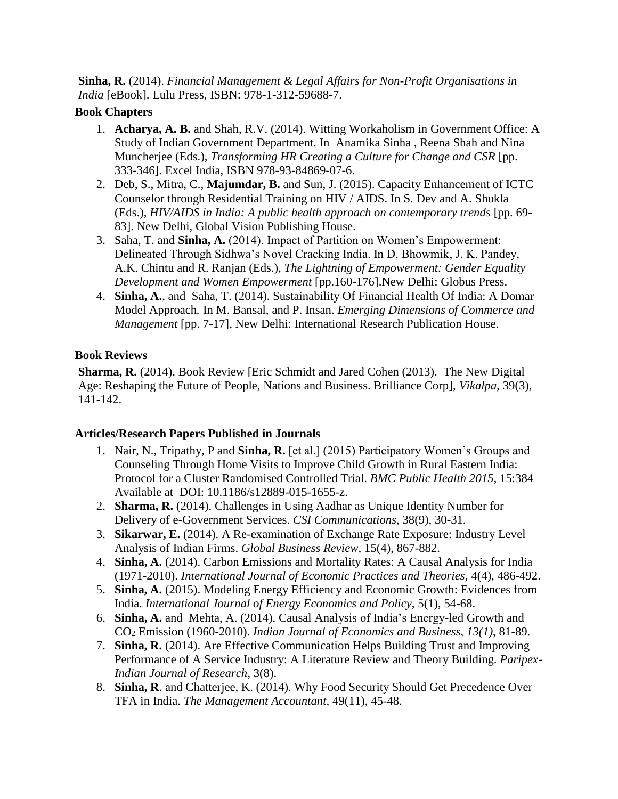**Sinha, R.** (2014). *Financial Management & Legal Affairs for Non-Profit Organisations in India* [eBook]. Lulu Press, ISBN: 978-1-312-59688-7.

#### **Book Chapters**

- 1. **Acharya, A. B.** and Shah, R.V. (2014). Witting Workaholism in Government Office: A Study of Indian Government Department. In Anamika Sinha , Reena Shah and Nina Muncherjee (Eds.), *Transforming HR Creating a Culture for Change and CSR* [pp. 333-346]. Excel India, ISBN 978-93-84869-07-6.
- 2. Deb, S., Mitra, C., **Majumdar, B.** and Sun, J. (2015). Capacity Enhancement of ICTC Counselor through Residential Training on HIV / AIDS. In S. Dev and A. Shukla (Eds.), *HIV/AIDS in India: A public health approach on contemporary trends* [pp. 69- 83]. New Delhi, Global Vision Publishing House.
- 3. Saha, T. and **Sinha, A.** (2014). Impact of Partition on Women's Empowerment: Delineated Through Sidhwa's Novel Cracking India. In D. Bhowmik, J. K. Pandey, A.K. Chintu and R. Ranjan (Eds.), *The Lightning of Empowerment: Gender Equality Development and Women Empowerment* [pp.160-176].New Delhi: Globus Press.
- 4. **Sinha, A.**, and Saha, T. (2014). Sustainability Of Financial Health Of India: A Domar Model Approach*.* In M. Bansal, and P. Insan. *Emerging Dimensions of Commerce and Management* [pp. 7-17], New Delhi: International Research Publication House.

# **Book Reviews**

**Sharma, R.** (2014). Book Review [Eric Schmidt and Jared Cohen (2013). The New Digital Age: Reshaping the Future of People, Nations and Business. Brilliance Corp], *Vikalpa*, 39(3), 141-142.

# **Articles/Research Papers Published in Journals**

- 1. Nair, N., Tripathy, P and **Sinha, R.** [et al.] (2015) Participatory Women's Groups and Counseling Through Home Visits to Improve Child Growth in Rural Eastern India: Protocol for a Cluster Randomised Controlled Trial. *BMC Public Health 2015*, 15:384 Available at DOI: 10.1186/s12889-015-1655-z.
- 2. **Sharma, R.** (2014). Challenges in Using Aadhar as Unique Identity Number for Delivery of e-Government Services. *CSI Communications*, 38(9), 30-31.
- 3. **Sikarwar, E.** (2014). A Re-examination of Exchange Rate Exposure: Industry Level Analysis of Indian Firms. *Global Business Review,* 15(4), 867-882.
- 4. **Sinha, A.** (2014). Carbon Emissions and Mortality Rates: A Causal Analysis for India (1971-2010). *International Journal of Economic Practices and Theories,* 4(4), 486-492.
- 5. **Sinha, A.** (2015). Modeling Energy Efficiency and Economic Growth: Evidences from India. *International Journal of Energy Economics and Policy,* 5(1), 54-68.
- 6. **Sinha, A.** and Mehta, A. (2014). Causal Analysis of India's Energy-led Growth and CO<sup>2</sup> Emission (1960-2010). *Indian Journal of Economics and Business, 13(1)*, 81-89.
- 7. **Sinha, R.** (2014). Are Effective Communication Helps Building Trust and Improving Performance of A Service Industry: A Literature Review and Theory Building. *Paripex-Indian Journal of Research,* 3(8).
- 8. **Sinha, R**. and Chatterjee, K. (2014). Why Food Security Should Get Precedence Over TFA in India. *The Management Accountant,* 49(11), 45-48.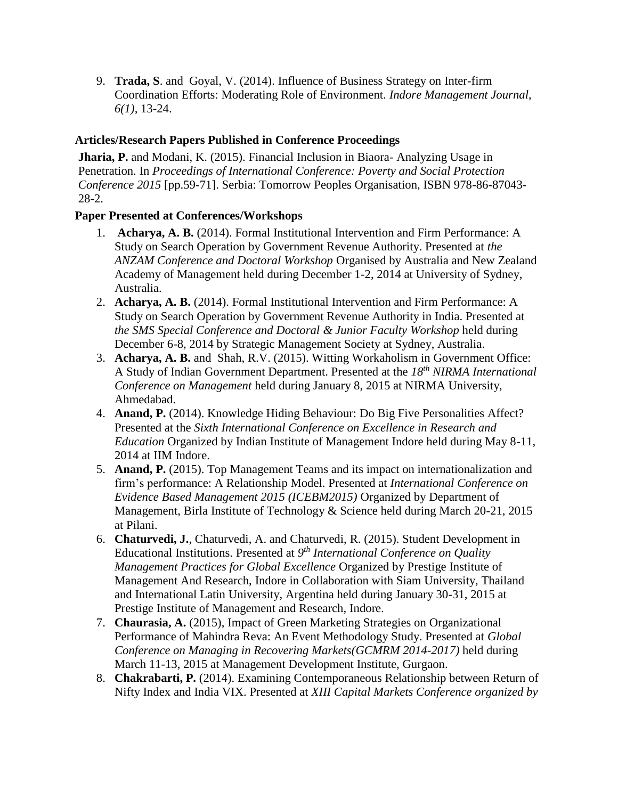9. **Trada, S**. and Goyal, V. (2014). Influence of Business Strategy on Inter-firm Coordination Efforts: Moderating Role of Environment. *Indore Management Journal*, *6(1),* 13-24.

### **Articles/Research Papers Published in Conference Proceedings**

**Jharia, P.** and Modani, K. (2015). Financial Inclusion in Biaora- Analyzing Usage in Penetration. In *Proceedings of International Conference: Poverty and Social Protection Conference 2015* [pp.59-71]. Serbia: Tomorrow Peoples Organisation, ISBN 978-86-87043- 28-2.

### **Paper Presented at Conferences/Workshops**

- 1. **Acharya, A. B.** (2014). Formal Institutional Intervention and Firm Performance: A Study on Search Operation by Government Revenue Authority. Presented at *the ANZAM Conference and Doctoral Workshop* Organised by Australia and New Zealand Academy of Management held during December 1-2, 2014 at University of Sydney, Australia.
- 2. **Acharya, A. B.** (2014). Formal Institutional Intervention and Firm Performance: A Study on Search Operation by Government Revenue Authority in India. Presented at *the SMS Special Conference and Doctoral & Junior Faculty Workshop* held during December 6-8, 2014 by Strategic Management Society at Sydney, Australia.
- 3. **Acharya, A. B.** and Shah, R.V. (2015). Witting Workaholism in Government Office: A Study of Indian Government Department. Presented at the *18th NIRMA International Conference on Management* held during January 8, 2015 at NIRMA University, Ahmedabad.
- 4. **Anand, P.** (2014). Knowledge Hiding Behaviour: Do Big Five Personalities Affect? Presented at the *Sixth International Conference on Excellence in Research and Education* Organized by Indian Institute of Management Indore held during May 8-11, 2014 at IIM Indore.
- 5. **Anand, P.** (2015). Top Management Teams and its impact on internationalization and firm's performance: A Relationship Model. Presented at *International Conference on Evidence Based Management 2015 (ICEBM2015)* Organized by Department of Management, Birla Institute of Technology & Science held during March 20-21, 2015 at Pilani.
- 6. **Chaturvedi, J.**, Chaturvedi, A. and Chaturvedi, R. (2015). Student Development in Educational Institutions. Presented at *9 th International Conference on Quality Management Practices for Global Excellence* Organized by Prestige Institute of Management And Research, Indore in Collaboration with Siam University, Thailand and International Latin University, Argentina held during January 30-31, 2015 at Prestige Institute of Management and Research, Indore.
- 7. **Chaurasia, A.** (2015), Impact of Green Marketing Strategies on Organizational Performance of Mahindra Reva: An Event Methodology Study. Presented at *Global Conference on Managing in Recovering Markets(GCMRM 2014-2017)* held during March 11-13, 2015 at Management Development Institute, Gurgaon.
- 8. **Chakrabarti, P.** (2014). Examining Contemporaneous Relationship between Return of Nifty Index and India VIX. Presented at *XIII Capital Markets Conference organized by*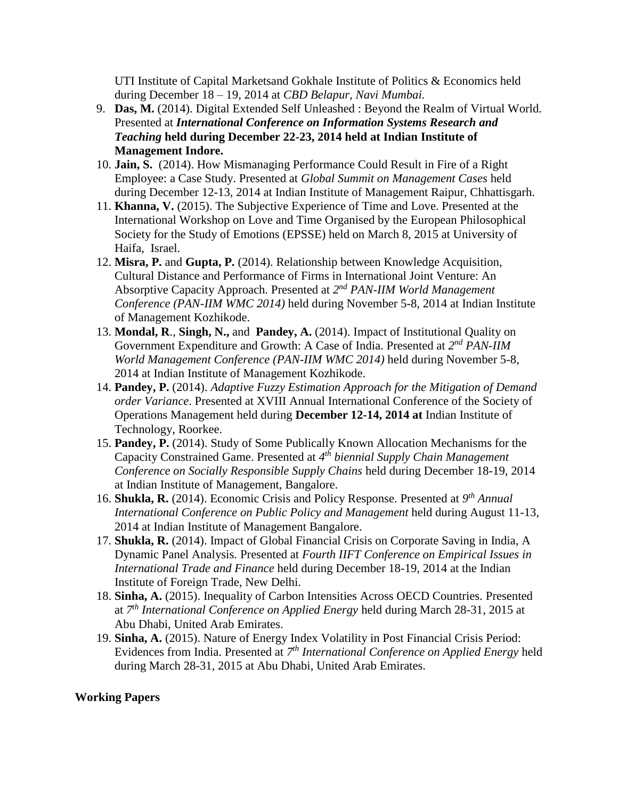UTI Institute of Capital Marketsand Gokhale Institute of Politics & Economics held during December 18 – 19, 2014 at *CBD Belapur, Navi Mumbai.*

- 9. **Das, M.** (2014). Digital Extended Self Unleashed : Beyond the Realm of Virtual World. Presented at *International Conference on Information Systems Research and Teaching* **held during December 22-23, 2014 held at Indian Institute of Management Indore.**
- 10. **Jain, S.** (2014). How Mismanaging Performance Could Result in Fire of a Right Employee: a Case Study. Presented at *Global Summit on Management Cases* held during December 12-13, 2014 at Indian Institute of Management Raipur, Chhattisgarh.
- 11. **Khanna, V.** (2015). The Subjective Experience of Time and Love. Presented at the International Workshop on Love and Time Organised by the European Philosophical Society for the Study of Emotions (EPSSE) held on March 8, 2015 at University of Haifa, Israel.
- 12. **Misra, P.** and **Gupta, P.** (2014). Relationship between Knowledge Acquisition, Cultural Distance and Performance of Firms in International Joint Venture: An Absorptive Capacity Approach. Presented at 2<sup>nd</sup> PAN-IIM World Management *Conference (PAN-IIM WMC 2014)* held during November 5-8, 2014 at Indian Institute of Management Kozhikode.
- 13. **Mondal, R**., **Singh, N.,** and **Pandey, A.** (2014). Impact of Institutional Quality on Government Expenditure and Growth: A Case of India. Presented at  $2^{nd}$  *PAN-IIM World Management Conference (PAN-IIM WMC 2014)* held during November 5-8, 2014 at Indian Institute of Management Kozhikode.
- 14. **Pandey, P.** (2014). *Adaptive Fuzzy Estimation Approach for the Mitigation of Demand order Variance*. Presented at XVIII Annual International Conference of the Society of Operations Management held during **December 12-14, 2014 at** Indian Institute of Technology, Roorkee.
- 15. **Pandey, P.** (2014). Study of Some Publically Known Allocation Mechanisms for the Capacity Constrained Game. Presented at *4 th biennial Supply Chain Management Conference on Socially Responsible Supply Chains* held during December 18-19, 2014 at Indian Institute of Management, Bangalore.
- 16. **Shukla, R.** (2014). Economic Crisis and Policy Response. Presented at *9 th Annual International Conference on Public Policy and Management* held during August 11-13, 2014 at Indian Institute of Management Bangalore.
- 17. **Shukla, R.** (2014). Impact of Global Financial Crisis on Corporate Saving in India, A Dynamic Panel Analysis. Presented at *Fourth IIFT Conference on Empirical Issues in International Trade and Finance* held during December 18-19, 2014 at the Indian Institute of Foreign Trade, New Delhi.
- 18. **Sinha, A.** (2015). Inequality of Carbon Intensities Across OECD Countries. Presented at *7 th International Conference on Applied Energy* held during March 28-31, 2015 at Abu Dhabi, United Arab Emirates.
- 19. **Sinha, A.** (2015). Nature of Energy Index Volatility in Post Financial Crisis Period: Evidences from India. Presented at *7 th International Conference on Applied Energy* held during March 28-31, 2015 at Abu Dhabi, United Arab Emirates.

#### **Working Papers**